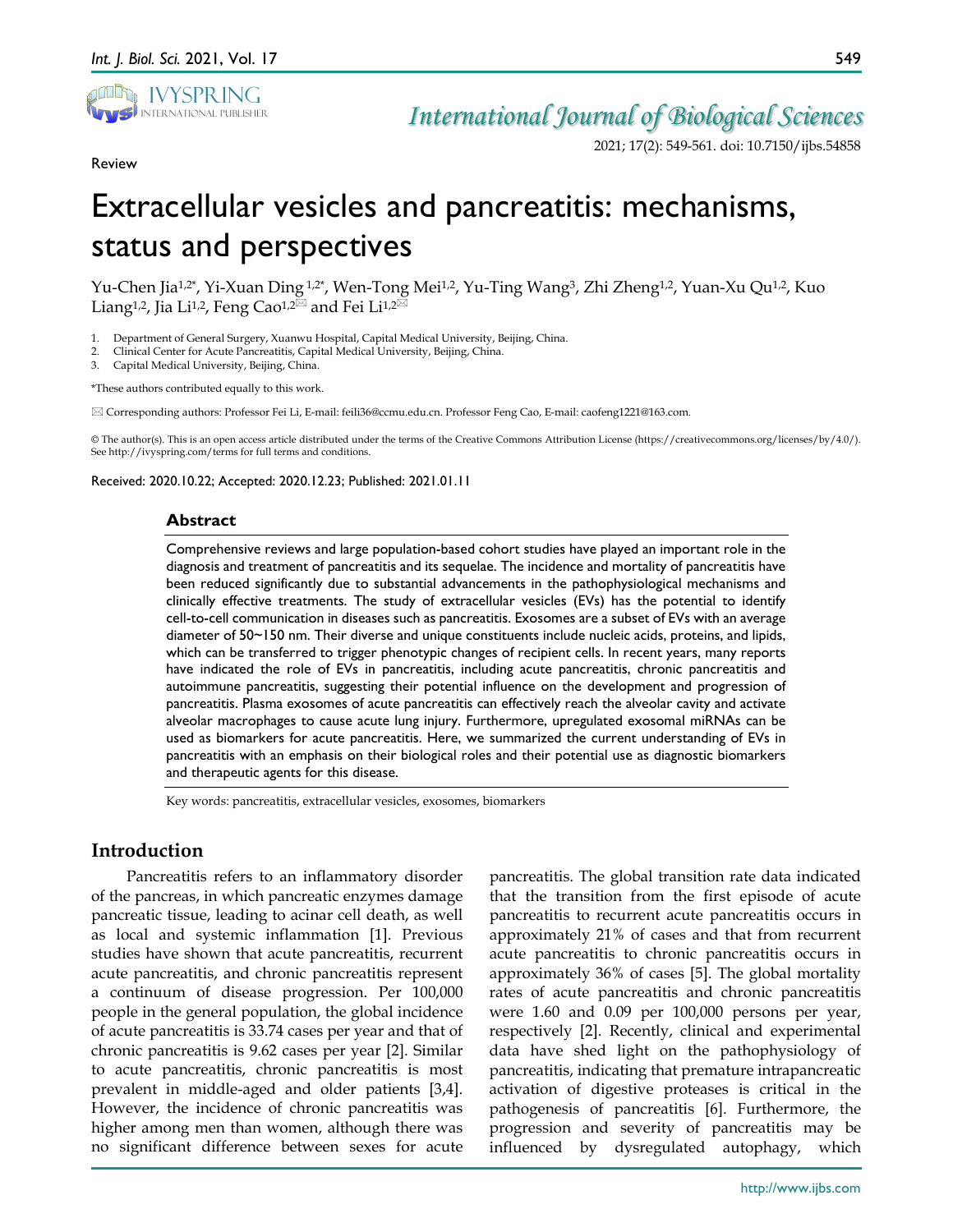

Review

## *International Journal of Biological Sciences*

2021; 17(2): 549-561. doi: 10.7150/ijbs.54858

# Extracellular vesicles and pancreatitis: mechanisms, status and perspectives

Yu-Chen Jia<sup>1,2\*</sup>, Yi-Xuan Ding <sup>1,2\*</sup>, Wen-Tong Mei<sup>1,2</sup>, Yu-Ting Wang<sup>3</sup>, Zhi Zheng<sup>1,2</sup>, Yuan-Xu Qu<sup>1,2</sup>, Kuo Liang<sup>1,2</sup>, Jia Li<sup>1,2</sup>, Feng Cao<sup>1,2 $\boxtimes$ </sup> and Fei Li<sup>1,2 $\boxtimes$ </sup>

1. Department of General Surgery, Xuanwu Hospital, Capital Medical University, Beijing, China.

2. Clinical Center for Acute Pancreatitis, Capital Medical University, Beijing, China.

3. Capital Medical University, Beijing, China.

\*These authors contributed equally to this work.

Corresponding authors: Professor Fei Li, E-mail: feili36@ccmu.edu.cn. Professor Feng Cao, E-mail: caofeng1221@163.com.

© The author(s). This is an open access article distributed under the terms of the Creative Commons Attribution License (https://creativecommons.org/licenses/by/4.0/). See http://ivyspring.com/terms for full terms and conditions.

Received: 2020.10.22; Accepted: 2020.12.23; Published: 2021.01.11

#### **Abstract**

Comprehensive reviews and large population-based cohort studies have played an important role in the diagnosis and treatment of pancreatitis and its sequelae. The incidence and mortality of pancreatitis have been reduced significantly due to substantial advancements in the pathophysiological mechanisms and clinically effective treatments. The study of extracellular vesicles (EVs) has the potential to identify cell-to-cell communication in diseases such as pancreatitis. Exosomes are a subset of EVs with an average diameter of 50~150 nm. Their diverse and unique constituents include nucleic acids, proteins, and lipids, which can be transferred to trigger phenotypic changes of recipient cells. In recent years, many reports have indicated the role of EVs in pancreatitis, including acute pancreatitis, chronic pancreatitis and autoimmune pancreatitis, suggesting their potential influence on the development and progression of pancreatitis. Plasma exosomes of acute pancreatitis can effectively reach the alveolar cavity and activate alveolar macrophages to cause acute lung injury. Furthermore, upregulated exosomal miRNAs can be used as biomarkers for acute pancreatitis. Here, we summarized the current understanding of EVs in pancreatitis with an emphasis on their biological roles and their potential use as diagnostic biomarkers and therapeutic agents for this disease.

Key words: pancreatitis, extracellular vesicles, exosomes, biomarkers

## **Introduction**

Pancreatitis refers to an inflammatory disorder of the pancreas, in which pancreatic enzymes damage pancreatic tissue, leading to acinar cell death, as well as local and systemic inflammation [1]. Previous studies have shown that acute pancreatitis, recurrent acute pancreatitis, and chronic pancreatitis represent a continuum of disease progression. Per 100,000 people in the general population, the global incidence of acute pancreatitis is 33.74 cases per year and that of chronic pancreatitis is 9.62 cases per year [2]. Similar to acute pancreatitis, chronic pancreatitis is most prevalent in middle-aged and older patients [3,4]. However, the incidence of chronic pancreatitis was higher among men than women, although there was no significant difference between sexes for acute

pancreatitis. The global transition rate data indicated that the transition from the first episode of acute pancreatitis to recurrent acute pancreatitis occurs in approximately 21% of cases and that from recurrent acute pancreatitis to chronic pancreatitis occurs in approximately 36% of cases [5]. The global mortality rates of acute pancreatitis and chronic pancreatitis were 1.60 and 0.09 per 100,000 persons per year, respectively [2]. Recently, clinical and experimental data have shed light on the pathophysiology of pancreatitis, indicating that premature intrapancreatic activation of digestive proteases is critical in the pathogenesis of pancreatitis [6]. Furthermore, the progression and severity of pancreatitis may be influenced by dysregulated autophagy, which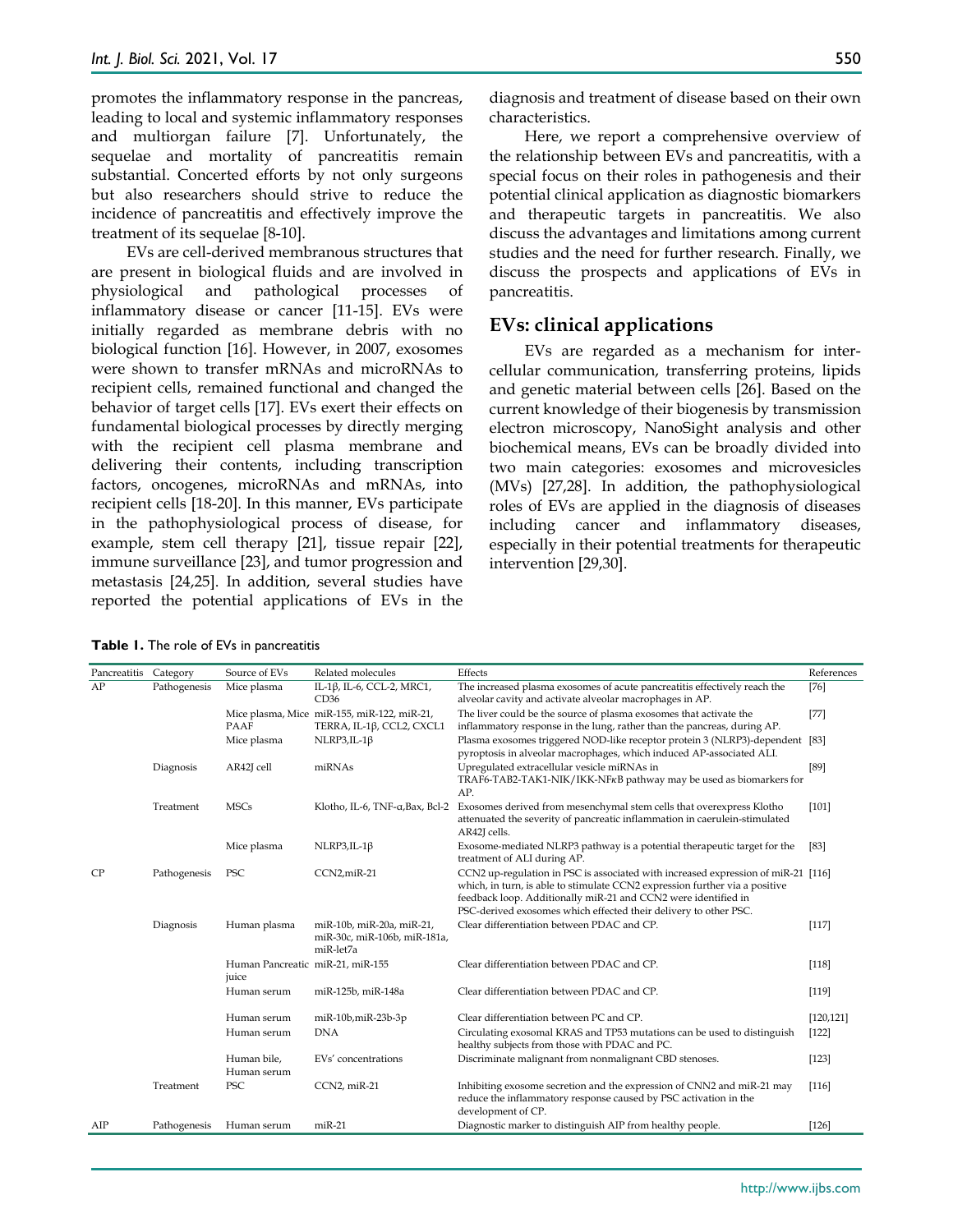promotes the inflammatory response in the pancreas, leading to local and systemic inflammatory responses and multiorgan failure [7]. Unfortunately, the sequelae and mortality of pancreatitis remain substantial. Concerted efforts by not only surgeons but also researchers should strive to reduce the incidence of pancreatitis and effectively improve the treatment of its sequelae [8-10].

EVs are cell-derived membranous structures that are present in biological fluids and are involved in physiological and pathological processes of inflammatory disease or cancer [11-15]. EVs were initially regarded as membrane debris with no biological function [16]. However, in 2007, exosomes were shown to transfer mRNAs and microRNAs to recipient cells, remained functional and changed the behavior of target cells [17]. EVs exert their effects on fundamental biological processes by directly merging with the recipient cell plasma membrane and delivering their contents, including transcription factors, oncogenes, microRNAs and mRNAs, into recipient cells [18-20]. In this manner, EVs participate in the pathophysiological process of disease, for example, stem cell therapy [21], tissue repair [22], immune surveillance [23], and tumor progression and metastasis [24,25]. In addition, several studies have reported the potential applications of EVs in the

diagnosis and treatment of disease based on their own characteristics.

Here, we report a comprehensive overview of the relationship between EVs and pancreatitis, with a special focus on their roles in pathogenesis and their potential clinical application as diagnostic biomarkers and therapeutic targets in pancreatitis. We also discuss the advantages and limitations among current studies and the need for further research. Finally, we discuss the prospects and applications of EVs in pancreatitis.

## **EVs: clinical applications**

EVs are regarded as a mechanism for intercellular communication, transferring proteins, lipids and genetic material between cells [26]. Based on the current knowledge of their biogenesis by transmission electron microscopy, NanoSight analysis and other biochemical means, EVs can be broadly divided into two main categories: exosomes and microvesicles (MVs) [27,28]. In addition, the pathophysiological roles of EVs are applied in the diagnosis of diseases including cancer and inflammatory diseases, especially in their potential treatments for therapeutic intervention [29,30].

|  |  |  |  | Table 1. The role of EVs in pancreatitis |
|--|--|--|--|------------------------------------------|
|--|--|--|--|------------------------------------------|

| Pancreatitis | Category     | Source of EVs                             | Related molecules                                                        | Effects                                                                                                                                                                                                                                                                                                | References |
|--------------|--------------|-------------------------------------------|--------------------------------------------------------------------------|--------------------------------------------------------------------------------------------------------------------------------------------------------------------------------------------------------------------------------------------------------------------------------------------------------|------------|
| AP           | Pathogenesis | Mice plasma                               | IL-1β, IL-6, CCL-2, MRC1,<br>CD36                                        | The increased plasma exosomes of acute pancreatitis effectively reach the<br>alveolar cavity and activate alveolar macrophages in AP.                                                                                                                                                                  | $[76]$     |
|              |              | PAAF                                      | Mice plasma, Mice miR-155, miR-122, miR-21,<br>TERRA, IL-1β, CCL2, CXCL1 | The liver could be the source of plasma exosomes that activate the<br>inflammatory response in the lung, rather than the pancreas, during AP.                                                                                                                                                          | $[77]$     |
|              |              | Mice plasma                               | $NLRP3, IL-1\beta$                                                       | Plasma exosomes triggered NOD-like receptor protein 3 (NLRP3)-dependent [83]<br>pyroptosis in alveolar macrophages, which induced AP-associated ALI.                                                                                                                                                   |            |
|              | Diagnosis    | AR42J cell                                | miRNAs                                                                   | Upregulated extracellular vesicle miRNAs in<br>TRAF6-TAB2-TAK1-NIK/IKK-NFKB pathway may be used as biomarkers for<br>AP.                                                                                                                                                                               | [89]       |
|              | Treatment    | <b>MSCs</b>                               | Klotho, IL-6, TNF-a, Bax, Bcl-2                                          | Exosomes derived from mesenchymal stem cells that overexpress Klotho<br>attenuated the severity of pancreatic inflammation in caerulein-stimulated<br>AR42J cells.                                                                                                                                     | $[101]$    |
|              |              | Mice plasma                               | $NLRP3, IL-1\beta$                                                       | Exosome-mediated NLRP3 pathway is a potential therapeutic target for the<br>treatment of ALI during AP.                                                                                                                                                                                                | [83]       |
| CP           | Pathogenesis | PSC                                       | CCN2,miR-21                                                              | CCN2 up-regulation in PSC is associated with increased expression of miR-21 [116]<br>which, in turn, is able to stimulate CCN2 expression further via a positive<br>feedback loop. Additionally miR-21 and CCN2 were identified in<br>PSC-derived exosomes which effected their delivery to other PSC. |            |
|              | Diagnosis    | Human plasma                              | miR-10b, miR-20a, miR-21,<br>miR-30c, miR-106b, miR-181a,<br>miR-let7a   | Clear differentiation between PDAC and CP.                                                                                                                                                                                                                                                             | [117]      |
|              |              | Human Pancreatic miR-21, miR-155<br>juice |                                                                          | Clear differentiation between PDAC and CP.                                                                                                                                                                                                                                                             | $[118]$    |
|              |              | Human serum                               | miR-125b, miR-148a                                                       | Clear differentiation between PDAC and CP.                                                                                                                                                                                                                                                             | [119]      |
|              |              | Human serum                               | miR-10b,miR-23b-3p                                                       | Clear differentiation between PC and CP.                                                                                                                                                                                                                                                               | [120, 121] |
|              |              | Human serum                               | <b>DNA</b>                                                               | Circulating exosomal KRAS and TP53 mutations can be used to distinguish<br>healthy subjects from those with PDAC and PC.                                                                                                                                                                               | $[122]$    |
|              |              | Human bile,<br>Human serum                | EVs' concentrations                                                      | Discriminate malignant from nonmalignant CBD stenoses.                                                                                                                                                                                                                                                 | $[123]$    |
|              | Treatment    | PSC                                       | CCN2, miR-21                                                             | Inhibiting exosome secretion and the expression of CNN2 and miR-21 may<br>reduce the inflammatory response caused by PSC activation in the<br>development of CP.                                                                                                                                       | [116]      |
| AIP          | Pathogenesis | Human serum                               | $miR-21$                                                                 | Diagnostic marker to distinguish AIP from healthy people.                                                                                                                                                                                                                                              | $[126]$    |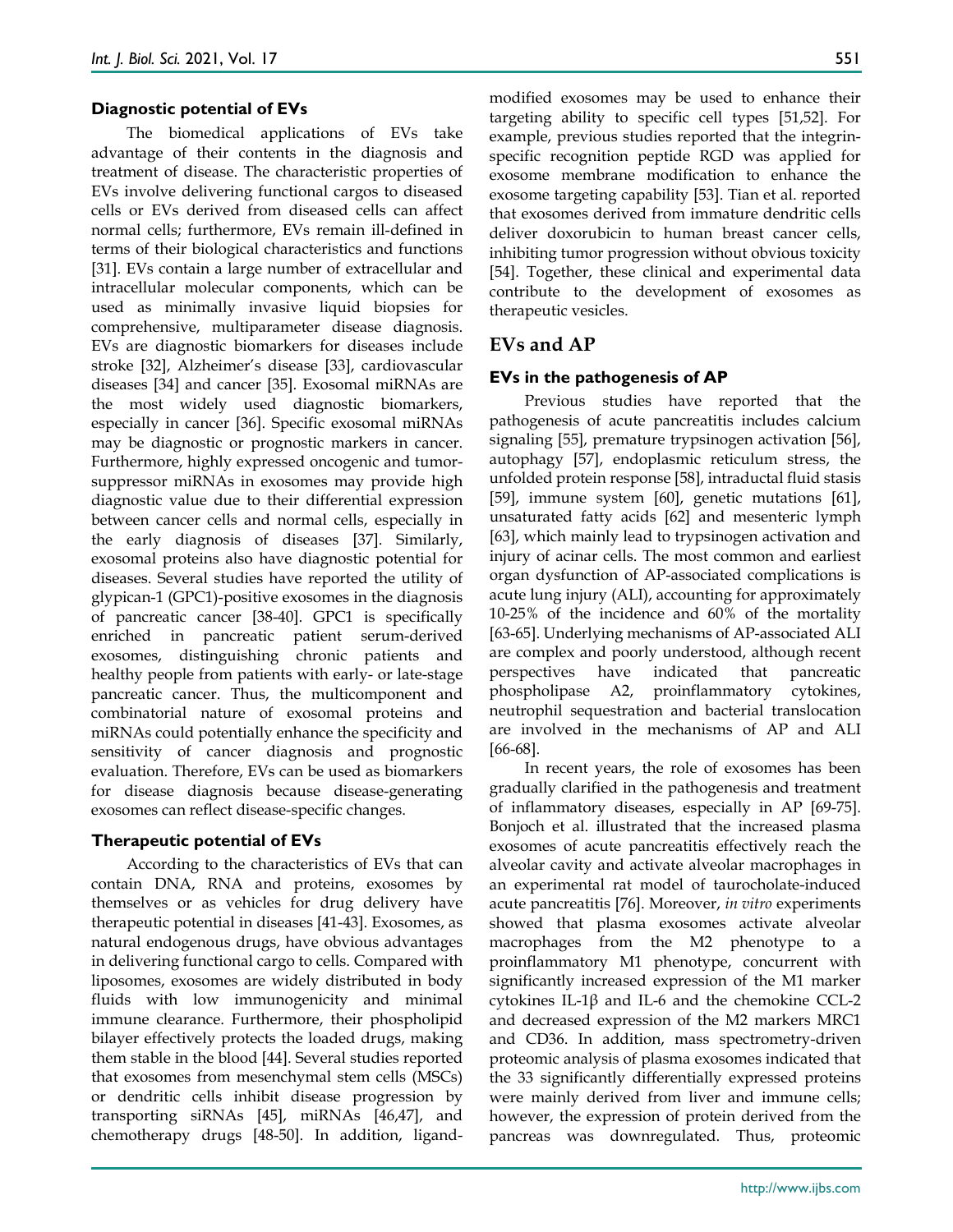#### **Diagnostic potential of EVs**

The biomedical applications of EVs take advantage of their contents in the diagnosis and treatment of disease. The characteristic properties of EVs involve delivering functional cargos to diseased cells or EVs derived from diseased cells can affect normal cells; furthermore, EVs remain ill-defined in terms of their biological characteristics and functions [31]. EVs contain a large number of extracellular and intracellular molecular components, which can be used as minimally invasive liquid biopsies for comprehensive, multiparameter disease diagnosis. EVs are diagnostic biomarkers for diseases include stroke [32], Alzheimer's disease [33], cardiovascular diseases [34] and cancer [35]. Exosomal miRNAs are the most widely used diagnostic biomarkers, especially in cancer [36]. Specific exosomal miRNAs may be diagnostic or prognostic markers in cancer. Furthermore, highly expressed oncogenic and tumorsuppressor miRNAs in exosomes may provide high diagnostic value due to their differential expression between cancer cells and normal cells, especially in the early diagnosis of diseases [37]. Similarly, exosomal proteins also have diagnostic potential for diseases. Several studies have reported the utility of glypican-1 (GPC1)-positive exosomes in the diagnosis of pancreatic cancer [38-40]. GPC1 is specifically enriched in pancreatic patient serum-derived exosomes, distinguishing chronic patients and healthy people from patients with early- or late-stage pancreatic cancer. Thus, the multicomponent and combinatorial nature of exosomal proteins and miRNAs could potentially enhance the specificity and sensitivity of cancer diagnosis and prognostic evaluation. Therefore, EVs can be used as biomarkers for disease diagnosis because disease-generating exosomes can reflect disease-specific changes.

#### **Therapeutic potential of EVs**

According to the characteristics of EVs that can contain DNA, RNA and proteins, exosomes by themselves or as vehicles for drug delivery have therapeutic potential in diseases [41-43]. Exosomes, as natural endogenous drugs, have obvious advantages in delivering functional cargo to cells. Compared with liposomes, exosomes are widely distributed in body fluids with low immunogenicity and minimal immune clearance. Furthermore, their phospholipid bilayer effectively protects the loaded drugs, making them stable in the blood [44]. Several studies reported that exosomes from mesenchymal stem cells (MSCs) or dendritic cells inhibit disease progression by transporting siRNAs [45], miRNAs [46,47], and chemotherapy drugs [48-50]. In addition, ligandmodified exosomes may be used to enhance their targeting ability to specific cell types [51,52]. For example, previous studies reported that the integrinspecific recognition peptide RGD was applied for exosome membrane modification to enhance the exosome targeting capability [53]. Tian et al. reported that exosomes derived from immature dendritic cells deliver doxorubicin to human breast cancer cells, inhibiting tumor progression without obvious toxicity [54]. Together, these clinical and experimental data contribute to the development of exosomes as therapeutic vesicles.

## **EVs and AP**

## **EVs in the pathogenesis of AP**

Previous studies have reported that the pathogenesis of acute pancreatitis includes calcium signaling [55], premature trypsinogen activation [56], autophagy [57], endoplasmic reticulum stress, the unfolded protein response [58], intraductal fluid stasis [59], immune system [60], genetic mutations [61], unsaturated fatty acids [62] and mesenteric lymph [63], which mainly lead to trypsinogen activation and injury of acinar cells. The most common and earliest organ dysfunction of AP-associated complications is acute lung injury (ALI), accounting for approximately 10-25% of the incidence and 60% of the mortality [63-65]. Underlying mechanisms of AP-associated ALI are complex and poorly understood, although recent perspectives have indicated that pancreatic phospholipase A2, proinflammatory cytokines, neutrophil sequestration and bacterial translocation are involved in the mechanisms of AP and ALI [66-68].

In recent years, the role of exosomes has been gradually clarified in the pathogenesis and treatment of inflammatory diseases, especially in AP [69-75]. Bonjoch et al. illustrated that the increased plasma exosomes of acute pancreatitis effectively reach the alveolar cavity and activate alveolar macrophages in an experimental rat model of taurocholate-induced acute pancreatitis [76]. Moreover, *in vitro* experiments showed that plasma exosomes activate alveolar macrophages from the M2 phenotype to a proinflammatory M1 phenotype, concurrent with significantly increased expression of the M1 marker cytokines IL-1β and IL-6 and the chemokine CCL-2 and decreased expression of the M2 markers MRC1 and CD36. In addition, mass spectrometry-driven proteomic analysis of plasma exosomes indicated that the 33 significantly differentially expressed proteins were mainly derived from liver and immune cells; however, the expression of protein derived from the pancreas was downregulated. Thus, proteomic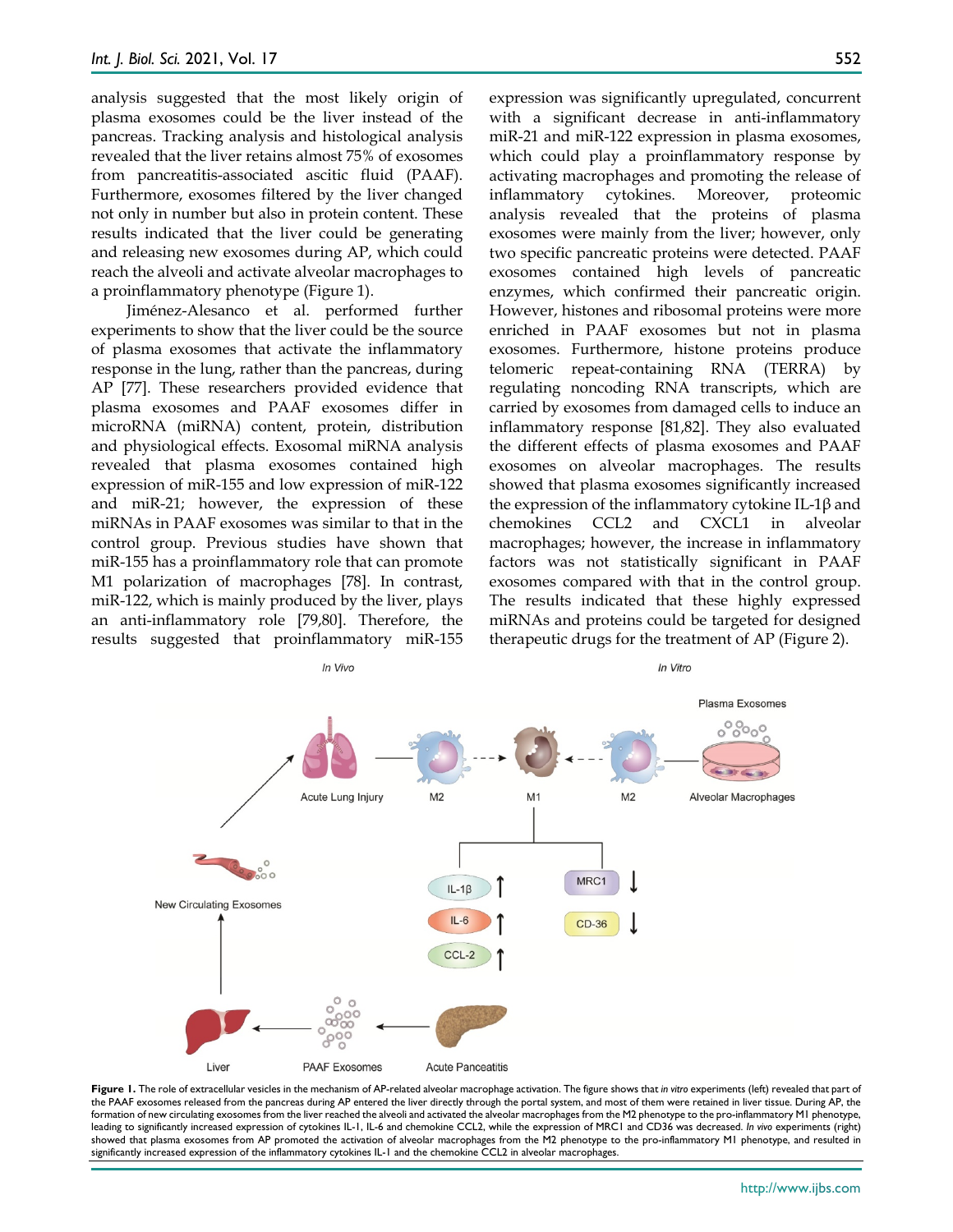analysis suggested that the most likely origin of plasma exosomes could be the liver instead of the pancreas. Tracking analysis and histological analysis revealed that the liver retains almost 75% of exosomes from pancreatitis-associated ascitic fluid (PAAF). Furthermore, exosomes filtered by the liver changed not only in number but also in protein content. These results indicated that the liver could be generating and releasing new exosomes during AP, which could reach the alveoli and activate alveolar macrophages to a proinflammatory phenotype (Figure 1).

Jiménez-Alesanco et al. performed further experiments to show that the liver could be the source of plasma exosomes that activate the inflammatory response in the lung, rather than the pancreas, during AP [77]. These researchers provided evidence that plasma exosomes and PAAF exosomes differ in microRNA (miRNA) content, protein, distribution and physiological effects. Exosomal miRNA analysis revealed that plasma exosomes contained high expression of miR-155 and low expression of miR-122 and miR-21; however, the expression of these miRNAs in PAAF exosomes was similar to that in the control group. Previous studies have shown that miR-155 has a proinflammatory role that can promote M1 polarization of macrophages [78]. In contrast, miR-122, which is mainly produced by the liver, plays an anti-inflammatory role [79,80]. Therefore, the results suggested that proinflammatory miR-155 expression was significantly upregulated, concurrent with a significant decrease in anti-inflammatory miR-21 and miR-122 expression in plasma exosomes, which could play a proinflammatory response by activating macrophages and promoting the release of inflammatory cytokines. Moreover, proteomic analysis revealed that the proteins of plasma exosomes were mainly from the liver; however, only two specific pancreatic proteins were detected. PAAF exosomes contained high levels of pancreatic enzymes, which confirmed their pancreatic origin. However, histones and ribosomal proteins were more enriched in PAAF exosomes but not in plasma exosomes. Furthermore, histone proteins produce telomeric repeat-containing RNA (TERRA) by regulating noncoding RNA transcripts, which are carried by exosomes from damaged cells to induce an inflammatory response [81,82]. They also evaluated the different effects of plasma exosomes and PAAF exosomes on alveolar macrophages. The results showed that plasma exosomes significantly increased the expression of the inflammatory cytokine IL-1β and chemokines CCL2 and CXCL1 in alveolar macrophages; however, the increase in inflammatory factors was not statistically significant in PAAF exosomes compared with that in the control group. The results indicated that these highly expressed miRNAs and proteins could be targeted for designed therapeutic drugs for the treatment of AP (Figure 2).



**Figure 1.** The role of extracellular vesicles in the mechanism of AP-related alveolar macrophage activation. The figure shows that *in vitro* experiments (left) revealed that part of the PAAF exosomes released from the pancreas during AP entered the liver directly through the portal system, and most of them were retained in liver tissue. During AP, the formation of new circulating exosomes from the liver reached the alveoli and activated the alveolar macrophages from the M2 phenotype to the pro-inflammatory M1 phenotype, leading to significantly increased expression of cytokines IL-1, IL-6 and chemokine CCL2, while the expression of MRC1 and CD36 was decreased. *In vivo* experiments (right) showed that plasma exosomes from AP promoted the activation of alveolar macrophages from the M2 phenotype to the pro-inflammatory M1 phenotype, and resulted in significantly increased expression of the inflammatory cytokines IL-1 and the chemokine CCL2 in alveolar macrophages.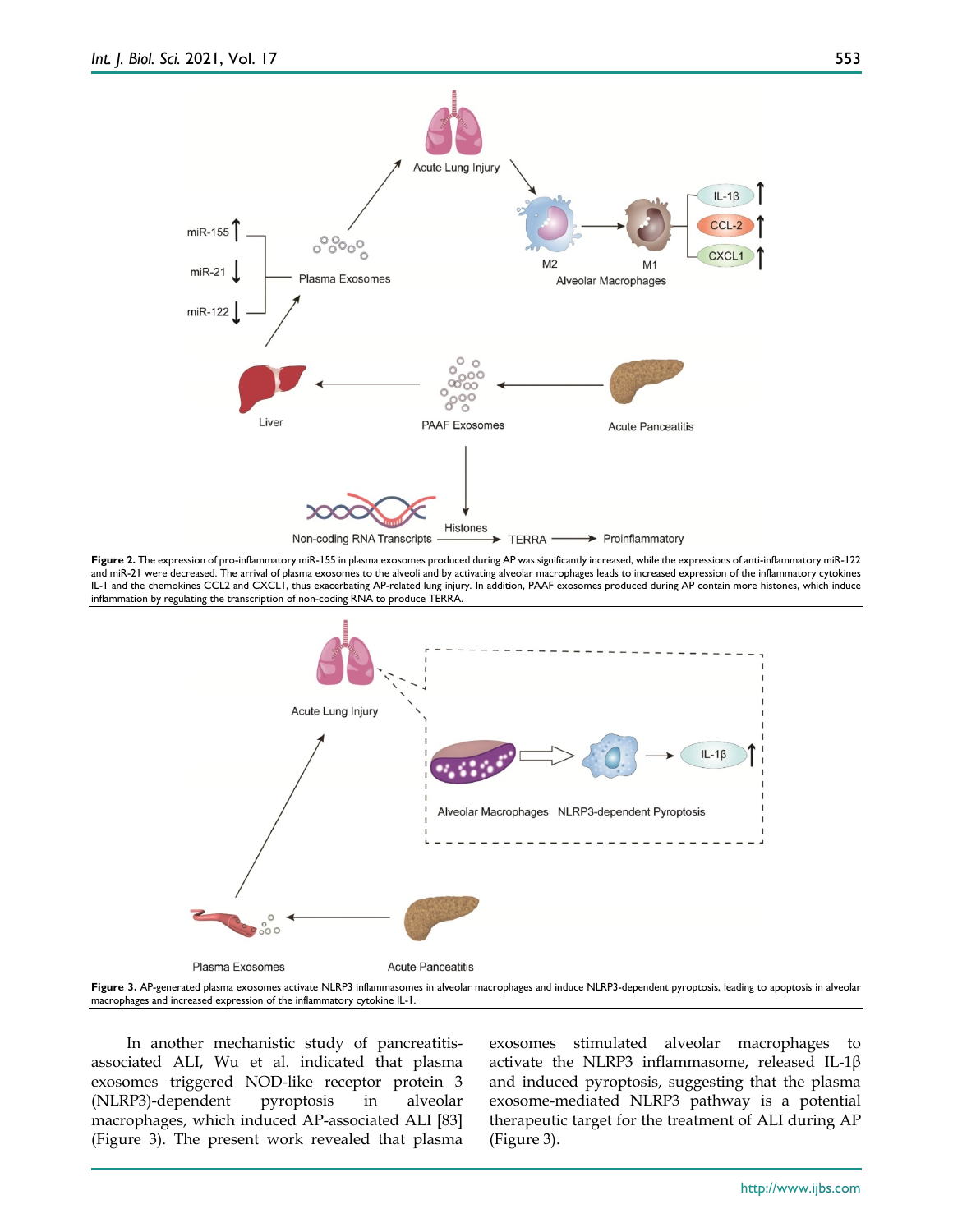

**Figure 2.** The expression of pro-inflammatory miR-155 in plasma exosomes produced during AP was significantly increased, while the expressions of anti-inflammatory miR-122 and miR-21 were decreased. The arrival of plasma exosomes to the alveoli and by activating alveolar macrophages leads to increased expression of the inflammatory cytokines IL-1 and the chemokines CCL2 and CXCL1, thus exacerbating AP-related lung injury. In addition, PAAF exosomes produced during AP contain more histones, which induce inflammation by regulating the transcription of non-coding RNA to produce TERRA.



**Figure 3.** AP-generated plasma exosomes activate NLRP3 inflammasomes in alveolar macrophages and induce NLRP3-dependent pyroptosis, leading to apoptosis in alveolar macrophages and increased expression of the inflammatory cytokine IL-1.

In another mechanistic study of pancreatitisassociated ALI, Wu et al. indicated that plasma exosomes triggered NOD-like receptor protein 3 (NLRP3)-dependent pyroptosis in alveolar macrophages, which induced AP-associated ALI [83] (Figure 3). The present work revealed that plasma exosomes stimulated alveolar macrophages to activate the NLRP3 inflammasome, released IL-1β and induced pyroptosis, suggesting that the plasma exosome-mediated NLRP3 pathway is a potential therapeutic target for the treatment of ALI during AP (Figure 3).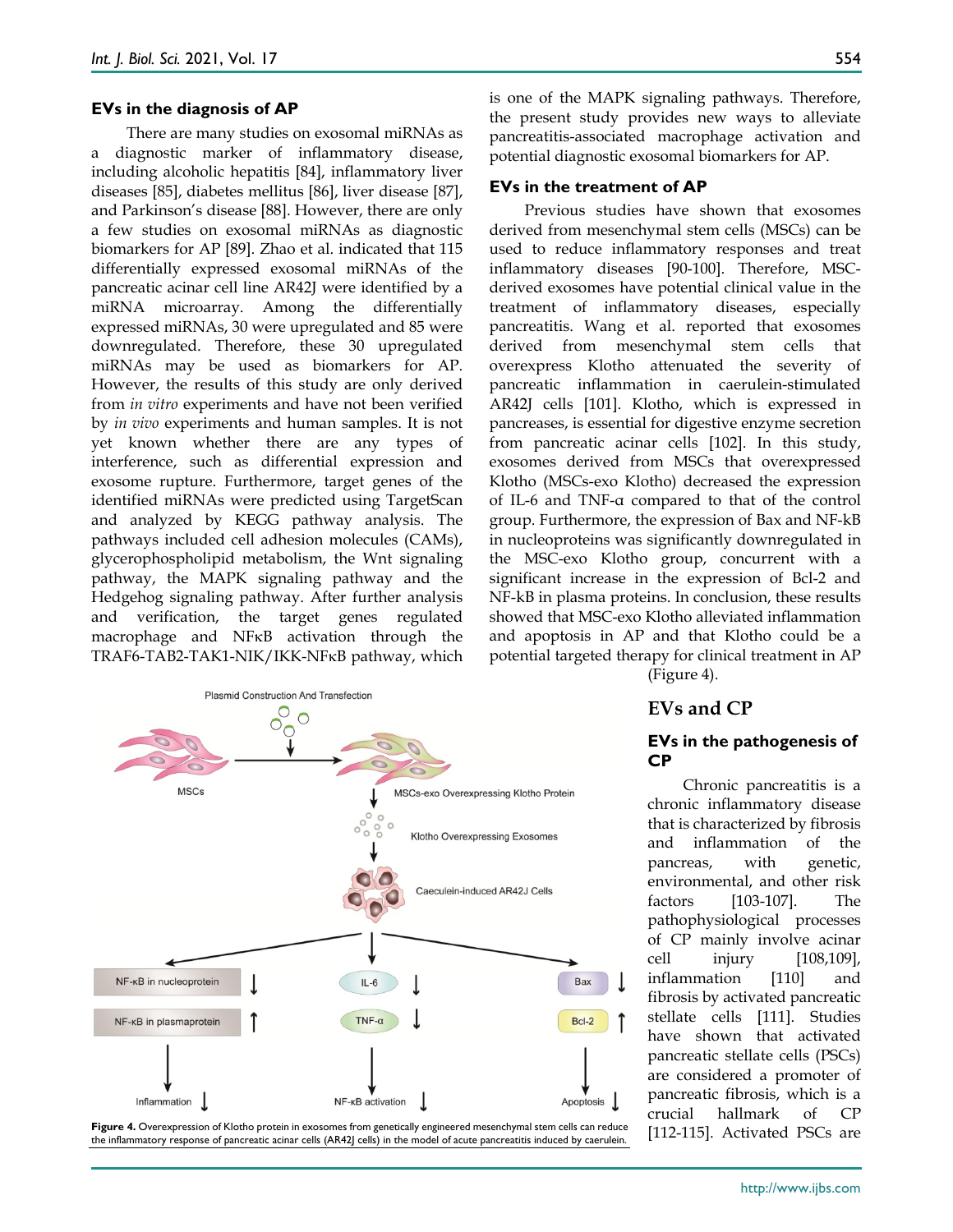#### **EVs in the diagnosis of AP**

There are many studies on exosomal miRNAs as a diagnostic marker of inflammatory disease, including alcoholic hepatitis [84], inflammatory liver diseases [85], diabetes mellitus [86], liver disease [87], and Parkinson's disease [88]. However, there are only a few studies on exosomal miRNAs as diagnostic biomarkers for AP [89]. Zhao et al. indicated that 115 differentially expressed exosomal miRNAs of the pancreatic acinar cell line AR42J were identified by a miRNA microarray. Among the differentially expressed miRNAs, 30 were upregulated and 85 were downregulated. Therefore, these 30 upregulated miRNAs may be used as biomarkers for AP. However, the results of this study are only derived from *in vitro* experiments and have not been verified by *in vivo* experiments and human samples. It is not yet known whether there are any types of interference, such as differential expression and exosome rupture. Furthermore, target genes of the identified miRNAs were predicted using TargetScan and analyzed by KEGG pathway analysis. The pathways included cell adhesion molecules (CAMs), glycerophospholipid metabolism, the Wnt signaling pathway, the MAPK signaling pathway and the Hedgehog signaling pathway. After further analysis and verification, the target genes regulated macrophage and NFκB activation through the TRAF6-TAB2-TAK1-NIK/IKK-NFκB pathway, which

554

is one of the MAPK signaling pathways. Therefore, the present study provides new ways to alleviate pancreatitis-associated macrophage activation and potential diagnostic exosomal biomarkers for AP.

#### **EVs in the treatment of AP**

Previous studies have shown that exosomes derived from mesenchymal stem cells (MSCs) can be used to reduce inflammatory responses and treat inflammatory diseases [90-100]. Therefore, MSCderived exosomes have potential clinical value in the treatment of inflammatory diseases, especially pancreatitis. Wang et al. reported that exosomes derived from mesenchymal stem cells that overexpress Klotho attenuated the severity of pancreatic inflammation in caerulein-stimulated AR42J cells [101]. Klotho, which is expressed in pancreases, is essential for digestive enzyme secretion from pancreatic acinar cells [102]. In this study, exosomes derived from MSCs that overexpressed Klotho (MSCs-exo Klotho) decreased the expression of IL-6 and TNF-α compared to that of the control group. Furthermore, the expression of Bax and NF-kB in nucleoproteins was significantly downregulated in the MSC-exo Klotho group, concurrent with a significant increase in the expression of Bcl-2 and NF-kB in plasma proteins. In conclusion, these results showed that MSC-exo Klotho alleviated inflammation and apoptosis in AP and that Klotho could be a potential targeted therapy for clinical treatment in AP



Figure 4. Overexpression of Klotho protein in exosomes from genetically engineered mesenchymal stem cells can reduce [112-115]. Activated PSCs are the inflammatory response of pancreatic acinar cells (AR42J cells) in the model of acute pancreatitis induced by caerulein.

(Figure 4).

#### **EVs and CP**

#### **EVs in the pathogenesis of CP**

Chronic pancreatitis is a chronic inflammatory disease that is characterized by fibrosis and inflammation of the pancreas, with genetic, environmental, and other risk factors [103-107]. The pathophysiological processes of CP mainly involve acinar cell injury [108,109], inflammation [110] and fibrosis by activated pancreatic stellate cells [111]. Studies have shown that activated pancreatic stellate cells (PSCs) are considered a promoter of pancreatic fibrosis, which is a crucial hallmark of CP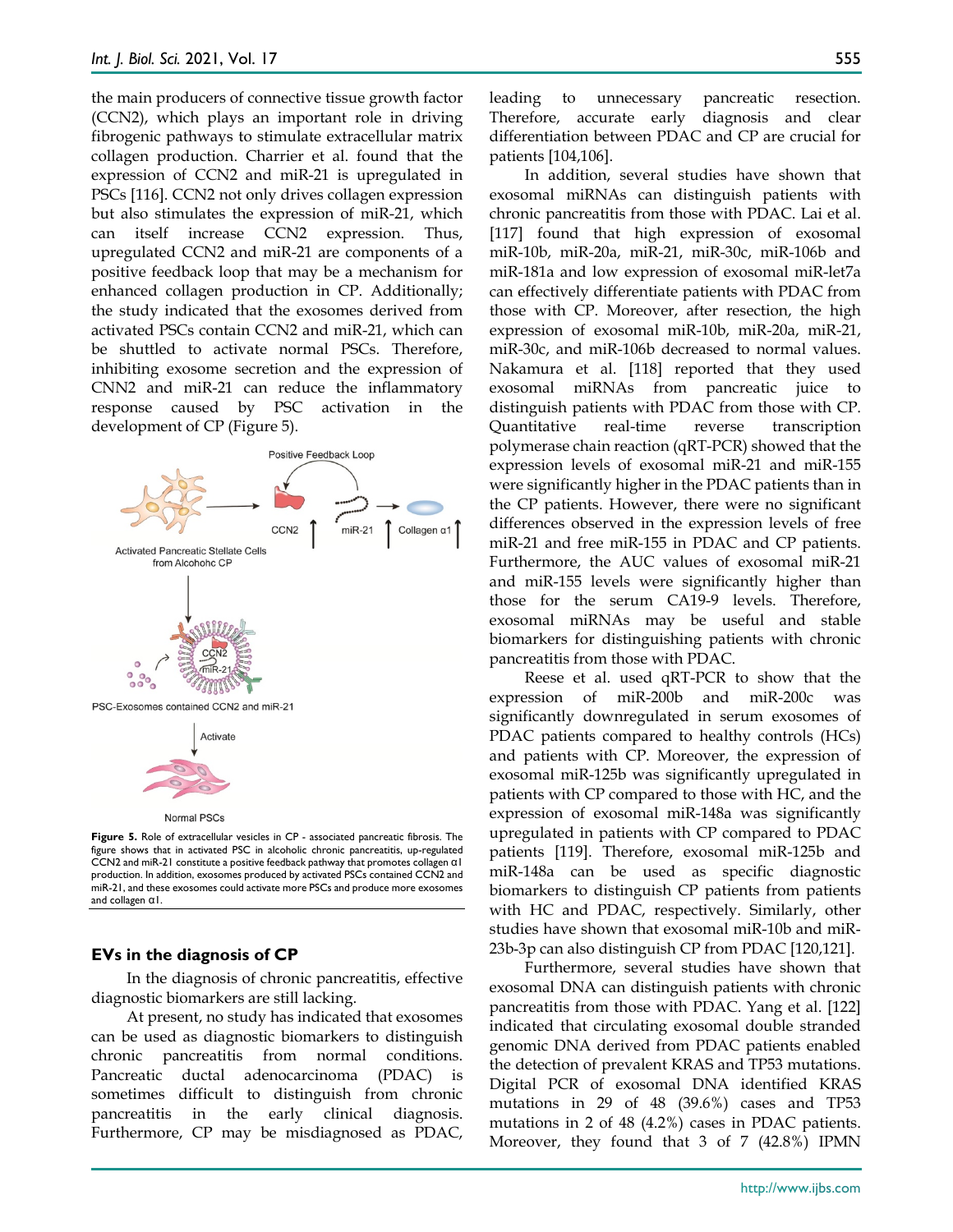the main producers of connective tissue growth factor (CCN2), which plays an important role in driving fibrogenic pathways to stimulate extracellular matrix collagen production. Charrier et al. found that the expression of CCN2 and miR-21 is upregulated in PSCs [116]. CCN2 not only drives collagen expression but also stimulates the expression of miR-21, which can itself increase CCN2 expression. Thus, upregulated CCN2 and miR-21 are components of a positive feedback loop that may be a mechanism for enhanced collagen production in CP. Additionally; the study indicated that the exosomes derived from activated PSCs contain CCN2 and miR-21, which can be shuttled to activate normal PSCs. Therefore, inhibiting exosome secretion and the expression of CNN2 and miR-21 can reduce the inflammatory response caused by PSC activation in the development of CP (Figure 5).



**Figure 5.** Role of extracellular vesicles in CP - associated pancreatic fibrosis. The figure shows that in activated PSC in alcoholic chronic pancreatitis, up-regulated CCN2 and miR-21 constitute a positive feedback pathway that promotes collagen α1 production. In addition, exosomes produced by activated PSCs contained CCN2 and miR-21, and these exosomes could activate more PSCs and produce more exosomes and collagen α1.

#### **EVs in the diagnosis of CP**

In the diagnosis of chronic pancreatitis, effective diagnostic biomarkers are still lacking.

At present, no study has indicated that exosomes can be used as diagnostic biomarkers to distinguish chronic pancreatitis from normal conditions. Pancreatic ductal adenocarcinoma (PDAC) is sometimes difficult to distinguish from chronic pancreatitis in the early clinical diagnosis. Furthermore, CP may be misdiagnosed as PDAC,

leading to unnecessary pancreatic resection. Therefore, accurate early diagnosis and clear differentiation between PDAC and CP are crucial for patients [104,106].

In addition, several studies have shown that exosomal miRNAs can distinguish patients with chronic pancreatitis from those with PDAC. Lai et al. [117] found that high expression of exosomal miR-10b, miR-20a, miR-21, miR-30c, miR-106b and miR-181a and low expression of exosomal miR-let7a can effectively differentiate patients with PDAC from those with CP. Moreover, after resection, the high expression of exosomal miR-10b, miR-20a, miR-21, miR-30c, and miR-106b decreased to normal values. Nakamura et al. [118] reported that they used exosomal miRNAs from pancreatic juice to distinguish patients with PDAC from those with CP. Quantitative real-time reverse transcription polymerase chain reaction (qRT-PCR) showed that the expression levels of exosomal miR-21 and miR-155 were significantly higher in the PDAC patients than in the CP patients. However, there were no significant differences observed in the expression levels of free miR-21 and free miR-155 in PDAC and CP patients. Furthermore, the AUC values of exosomal miR-21 and miR-155 levels were significantly higher than those for the serum CA19-9 levels. Therefore, exosomal miRNAs may be useful and stable biomarkers for distinguishing patients with chronic pancreatitis from those with PDAC.

Reese et al. used qRT-PCR to show that the expression of miR-200b and miR-200c was significantly downregulated in serum exosomes of PDAC patients compared to healthy controls (HCs) and patients with CP. Moreover, the expression of exosomal miR-125b was significantly upregulated in patients with CP compared to those with HC, and the expression of exosomal miR-148a was significantly upregulated in patients with CP compared to PDAC patients [119]. Therefore, exosomal miR-125b and miR-148a can be used as specific diagnostic biomarkers to distinguish CP patients from patients with HC and PDAC, respectively. Similarly, other studies have shown that exosomal miR-10b and miR‑ 23b‑3p can also distinguish CP from PDAC [120,121].

Furthermore, several studies have shown that exosomal DNA can distinguish patients with chronic pancreatitis from those with PDAC. Yang et al. [122] indicated that circulating exosomal double stranded genomic DNA derived from PDAC patients enabled the detection of prevalent KRAS and TP53 mutations. Digital PCR of exosomal DNA identified KRAS mutations in 29 of 48 (39.6%) cases and TP53 mutations in 2 of 48 (4.2%) cases in PDAC patients. Moreover, they found that 3 of 7 (42.8%) IPMN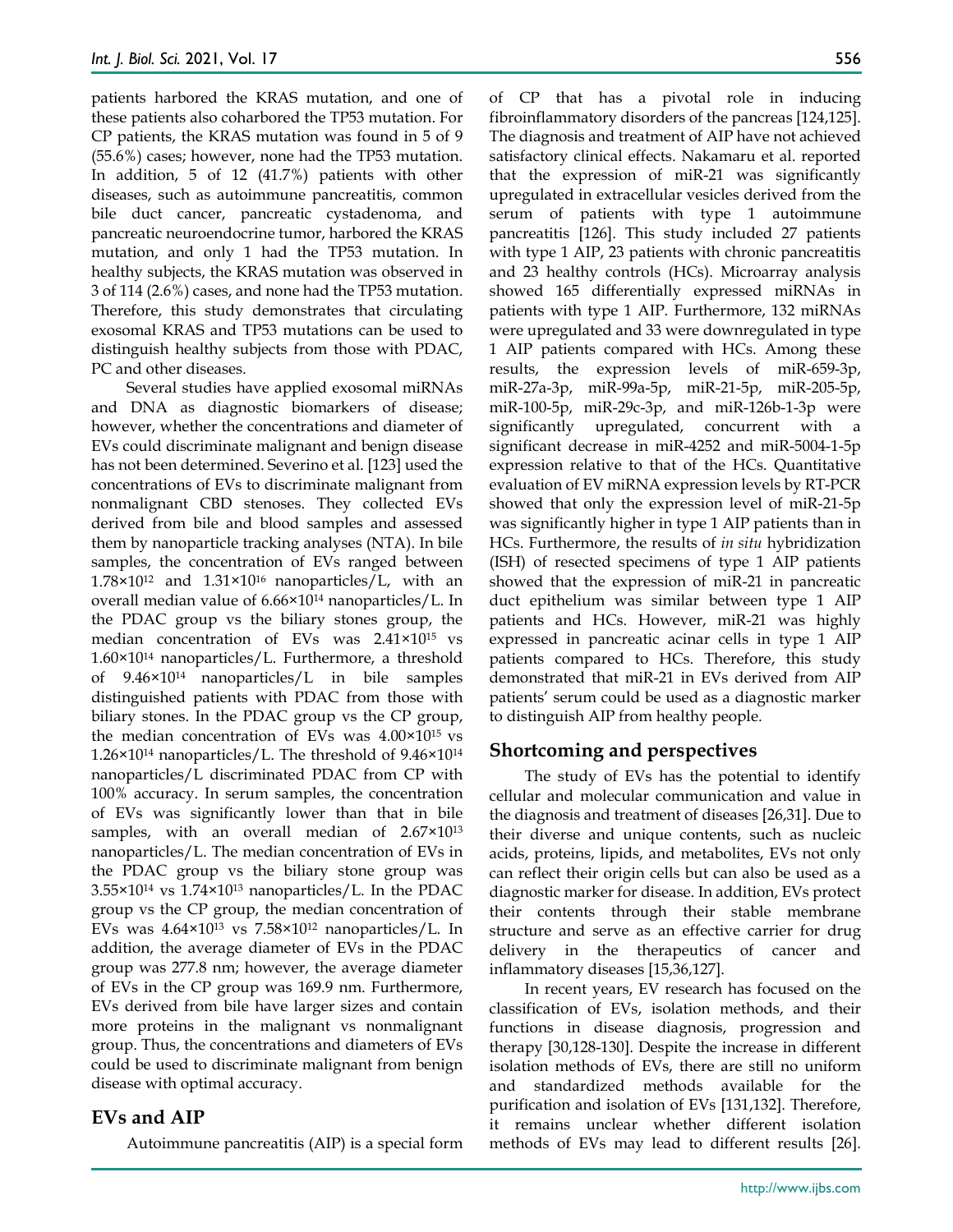patients harbored the KRAS mutation, and one of these patients also coharbored the TP53 mutation. For CP patients, the KRAS mutation was found in 5 of 9 (55.6%) cases; however, none had the TP53 mutation. In addition, 5 of 12 (41.7%) patients with other diseases, such as autoimmune pancreatitis, common bile duct cancer, pancreatic cystadenoma, and pancreatic neuroendocrine tumor, harbored the KRAS mutation, and only 1 had the TP53 mutation. In healthy subjects, the KRAS mutation was observed in 3 of 114 (2.6%) cases, and none had the TP53 mutation. Therefore, this study demonstrates that circulating exosomal KRAS and TP53 mutations can be used to distinguish healthy subjects from those with PDAC, PC and other diseases.

Several studies have applied exosomal miRNAs and DNA as diagnostic biomarkers of disease; however, whether the concentrations and diameter of EVs could discriminate malignant and benign disease has not been determined. Severino et al. [123] used the concentrations of EVs to discriminate malignant from nonmalignant CBD stenoses. They collected EVs derived from bile and blood samples and assessed them by nanoparticle tracking analyses (NTA). In bile samples, the concentration of EVs ranged between  $1.78\times10^{12}$  and  $1.31\times10^{16}$  nanoparticles/L, with an overall median value of 6.66×1014 nanoparticles/L. In the PDAC group vs the biliary stones group, the median concentration of EVs was 2.41×1015 vs 1.60×1014 nanoparticles/L. Furthermore, a threshold of 9.46×1014 nanoparticles/L in bile samples distinguished patients with PDAC from those with biliary stones. In the PDAC group vs the CP group, the median concentration of EVs was 4.00×1015 vs  $1.26\times10^{14}$  nanoparticles/L. The threshold of 9.46 $\times10^{14}$ nanoparticles/L discriminated PDAC from CP with 100% accuracy. In serum samples, the concentration of EVs was significantly lower than that in bile samples, with an overall median of 2.67×10<sup>13</sup> nanoparticles/L. The median concentration of EVs in the PDAC group vs the biliary stone group was  $3.55\times10^{14}$  vs  $1.74\times10^{13}$  nanoparticles/L. In the PDAC group vs the CP group, the median concentration of EVs was 4.64×1013 vs 7.58×1012 nanoparticles/L. In addition, the average diameter of EVs in the PDAC group was 277.8 nm; however, the average diameter of EVs in the CP group was 169.9 nm. Furthermore, EVs derived from bile have larger sizes and contain more proteins in the malignant vs nonmalignant group. Thus, the concentrations and diameters of EVs could be used to discriminate malignant from benign disease with optimal accuracy.

#### **EVs and AIP**

Autoimmune pancreatitis (AIP) is a special form

of CP that has a pivotal role in inducing fibroinflammatory disorders of the pancreas [124,125]. The diagnosis and treatment of AIP have not achieved satisfactory clinical effects. Nakamaru et al. reported that the expression of miR-21 was significantly upregulated in extracellular vesicles derived from the serum of patients with type 1 autoimmune pancreatitis [126]. This study included 27 patients with type 1 AIP, 23 patients with chronic pancreatitis and 23 healthy controls (HCs). Microarray analysis showed 165 differentially expressed miRNAs in patients with type 1 AIP. Furthermore, 132 miRNAs were upregulated and 33 were downregulated in type 1 AIP patients compared with HCs. Among these results, the expression levels of miR-659-3p, miR-27a-3p, miR-99a-5p, miR-21-5p, miR-205-5p, miR-100-5p, miR-29c-3p, and miR-126b-1-3p were significantly upregulated, concurrent with a significant decrease in miR-4252 and miR-5004-1-5p expression relative to that of the HCs. Quantitative evaluation of EV miRNA expression levels by RT-PCR showed that only the expression level of miR-21-5p was significantly higher in type 1 AIP patients than in HCs. Furthermore, the results of *in situ* hybridization (ISH) of resected specimens of type 1 AIP patients showed that the expression of miR-21 in pancreatic duct epithelium was similar between type 1 AIP patients and HCs. However, miR-21 was highly expressed in pancreatic acinar cells in type 1 AIP patients compared to HCs. Therefore, this study demonstrated that miR-21 in EVs derived from AIP patients' serum could be used as a diagnostic marker to distinguish AIP from healthy people.

## **Shortcoming and perspectives**

The study of EVs has the potential to identify cellular and molecular communication and value in the diagnosis and treatment of diseases [26,31]. Due to their diverse and unique contents, such as nucleic acids, proteins, lipids, and metabolites, EVs not only can reflect their origin cells but can also be used as a diagnostic marker for disease. In addition, EVs protect their contents through their stable membrane structure and serve as an effective carrier for drug delivery in the therapeutics of cancer and inflammatory diseases [15,36,127].

In recent years, EV research has focused on the classification of EVs, isolation methods, and their functions in disease diagnosis, progression and therapy [30,128-130]. Despite the increase in different isolation methods of EVs, there are still no uniform and standardized methods available for the purification and isolation of EVs [131,132]. Therefore, it remains unclear whether different isolation methods of EVs may lead to different results [26].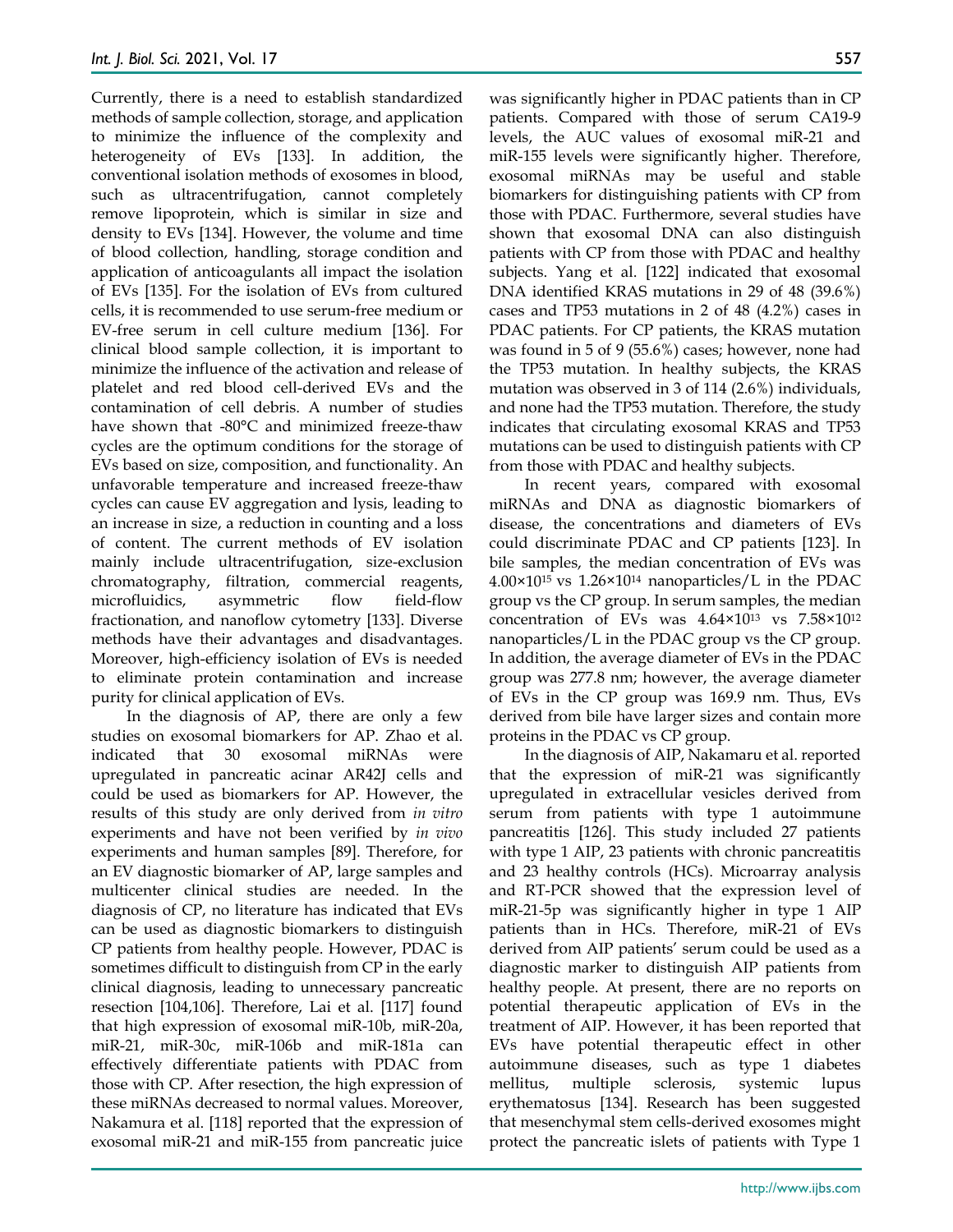Currently, there is a need to establish standardized methods of sample collection, storage, and application to minimize the influence of the complexity and heterogeneity of EVs [133]. In addition, the conventional isolation methods of exosomes in blood, such as ultracentrifugation, cannot completely remove lipoprotein, which is similar in size and density to EVs [134]. However, the volume and time of blood collection, handling, storage condition and application of anticoagulants all impact the isolation of EVs [135]. For the isolation of EVs from cultured cells, it is recommended to use serum-free medium or EV-free serum in cell culture medium [136]. For clinical blood sample collection, it is important to minimize the influence of the activation and release of platelet and red blood cell-derived EVs and the contamination of cell debris. A number of studies have shown that -80°C and minimized freeze-thaw cycles are the optimum conditions for the storage of EVs based on size, composition, and functionality. An unfavorable temperature and increased freeze-thaw cycles can cause EV aggregation and lysis, leading to an increase in size, a reduction in counting and a loss of content. The current methods of EV isolation mainly include ultracentrifugation, size-exclusion chromatography, filtration, commercial reagents, microfluidics, asymmetric flow field-flow fractionation, and nanoflow cytometry [133]. Diverse methods have their advantages and disadvantages. Moreover, high-efficiency isolation of EVs is needed to eliminate protein contamination and increase purity for clinical application of EVs.

In the diagnosis of AP, there are only a few studies on exosomal biomarkers for AP. Zhao et al. indicated that 30 exosomal miRNAs were upregulated in pancreatic acinar AR42J cells and could be used as biomarkers for AP. However, the results of this study are only derived from *in vitro* experiments and have not been verified by *in vivo* experiments and human samples [89]. Therefore, for an EV diagnostic biomarker of AP, large samples and multicenter clinical studies are needed. In the diagnosis of CP, no literature has indicated that EVs can be used as diagnostic biomarkers to distinguish CP patients from healthy people. However, PDAC is sometimes difficult to distinguish from CP in the early clinical diagnosis, leading to unnecessary pancreatic resection [104,106]. Therefore, Lai et al. [117] found that high expression of exosomal miR-10b, miR-20a, miR-21, miR-30c, miR-106b and miR-181a can effectively differentiate patients with PDAC from those with CP. After resection, the high expression of these miRNAs decreased to normal values. Moreover, Nakamura et al. [118] reported that the expression of exosomal miR-21 and miR-155 from pancreatic juice

was significantly higher in PDAC patients than in CP patients. Compared with those of serum CA19-9 levels, the AUC values of exosomal miR-21 and miR-155 levels were significantly higher. Therefore, exosomal miRNAs may be useful and stable biomarkers for distinguishing patients with CP from those with PDAC. Furthermore, several studies have shown that exosomal DNA can also distinguish patients with CP from those with PDAC and healthy subjects. Yang et al. [122] indicated that exosomal DNA identified KRAS mutations in 29 of 48 (39.6%) cases and TP53 mutations in 2 of 48 (4.2%) cases in PDAC patients. For CP patients, the KRAS mutation was found in 5 of 9 (55.6%) cases; however, none had the TP53 mutation. In healthy subjects, the KRAS mutation was observed in 3 of 114 (2.6%) individuals, and none had the TP53 mutation. Therefore, the study indicates that circulating exosomal KRAS and TP53 mutations can be used to distinguish patients with CP from those with PDAC and healthy subjects.

In recent years, compared with exosomal miRNAs and DNA as diagnostic biomarkers of disease, the concentrations and diameters of EVs could discriminate PDAC and CP patients [123]. In bile samples, the median concentration of EVs was  $4.00\times10^{15}$  vs 1.26 $\times10^{14}$  nanoparticles/L in the PDAC group vs the CP group. In serum samples, the median concentration of EVs was 4.64×1013 vs 7.58×1012 nanoparticles/L in the PDAC group vs the CP group. In addition, the average diameter of EVs in the PDAC group was 277.8 nm; however, the average diameter of EVs in the CP group was 169.9 nm. Thus, EVs derived from bile have larger sizes and contain more proteins in the PDAC vs CP group.

In the diagnosis of AIP, Nakamaru et al. reported that the expression of miR-21 was significantly upregulated in extracellular vesicles derived from serum from patients with type 1 autoimmune pancreatitis [126]. This study included 27 patients with type 1 AIP, 23 patients with chronic pancreatitis and 23 healthy controls (HCs). Microarray analysis and RT-PCR showed that the expression level of miR-21-5p was significantly higher in type 1 AIP patients than in HCs. Therefore, miR-21 of EVs derived from AIP patients' serum could be used as a diagnostic marker to distinguish AIP patients from healthy people. At present, there are no reports on potential therapeutic application of EVs in the treatment of AIP. However, it has been reported that EVs have potential therapeutic effect in other autoimmune diseases, such as type 1 diabetes mellitus, multiple sclerosis, systemic lupus erythematosus [134]. Research has been suggested that mesenchymal stem cells-derived exosomes might protect the pancreatic islets of patients with Type 1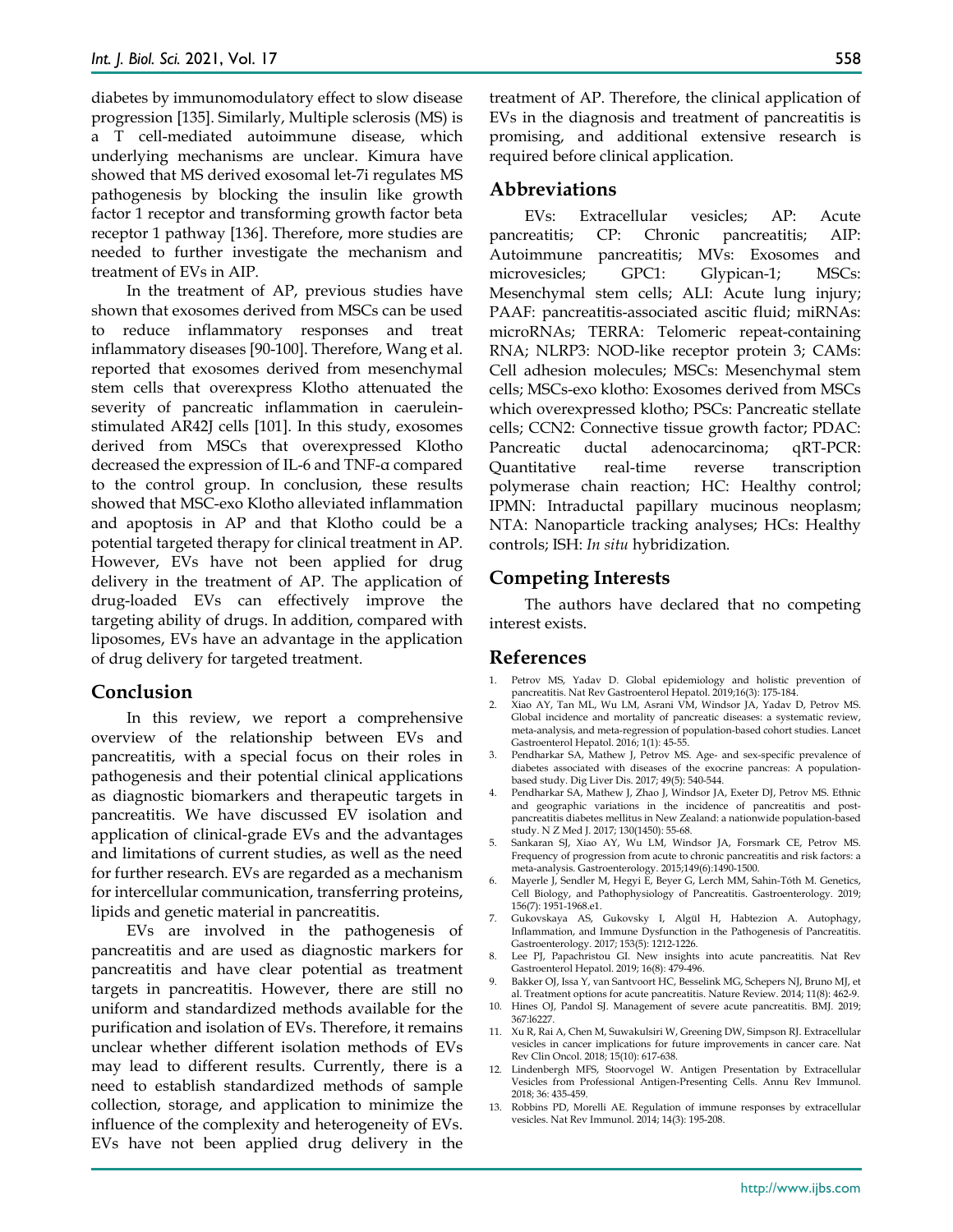diabetes by immunomodulatory effect to slow disease progression [135]. Similarly, Multiple sclerosis (MS) is a T cell-mediated autoimmune disease, which underlying mechanisms are unclear. Kimura have showed that MS derived exosomal let-7i regulates MS pathogenesis by blocking the insulin like growth factor 1 receptor and transforming growth factor beta receptor 1 pathway [136]. Therefore, more studies are needed to further investigate the mechanism and treatment of EVs in AIP.

In the treatment of AP, previous studies have shown that exosomes derived from MSCs can be used to reduce inflammatory responses and treat inflammatory diseases [90-100]. Therefore, Wang et al. reported that exosomes derived from mesenchymal stem cells that overexpress Klotho attenuated the severity of pancreatic inflammation in caeruleinstimulated AR42J cells [101]. In this study, exosomes derived from MSCs that overexpressed Klotho decreased the expression of IL-6 and TNF-α compared to the control group. In conclusion, these results showed that MSC-exo Klotho alleviated inflammation and apoptosis in AP and that Klotho could be a potential targeted therapy for clinical treatment in AP. However, EVs have not been applied for drug delivery in the treatment of AP. The application of drug-loaded EVs can effectively improve the targeting ability of drugs. In addition, compared with liposomes, EVs have an advantage in the application of drug delivery for targeted treatment.

## **Conclusion**

In this review, we report a comprehensive overview of the relationship between EVs and pancreatitis, with a special focus on their roles in pathogenesis and their potential clinical applications as diagnostic biomarkers and therapeutic targets in pancreatitis. We have discussed EV isolation and application of clinical-grade EVs and the advantages and limitations of current studies, as well as the need for further research. EVs are regarded as a mechanism for intercellular communication, transferring proteins, lipids and genetic material in pancreatitis.

EVs are involved in the pathogenesis of pancreatitis and are used as diagnostic markers for pancreatitis and have clear potential as treatment targets in pancreatitis. However, there are still no uniform and standardized methods available for the purification and isolation of EVs. Therefore, it remains unclear whether different isolation methods of EVs may lead to different results. Currently, there is a need to establish standardized methods of sample collection, storage, and application to minimize the influence of the complexity and heterogeneity of EVs. EVs have not been applied drug delivery in the

treatment of AP. Therefore, the clinical application of EVs in the diagnosis and treatment of pancreatitis is promising, and additional extensive research is required before clinical application.

## **Abbreviations**

EVs: Extracellular vesicles; AP: Acute pancreatitis; CP: Chronic pancreatitis; AIP: Autoimmune pancreatitis; MVs: Exosomes and microvesicles; GPC1: Glypican-1; MSCs: Mesenchymal stem cells; ALI: Acute lung injury; PAAF: pancreatitis-associated ascitic fluid; miRNAs: microRNAs; TERRA: Telomeric repeat-containing RNA; NLRP3: NOD-like receptor protein 3; CAMs: Cell adhesion molecules; MSCs: Mesenchymal stem cells; MSCs-exo klotho: Exosomes derived from MSCs which overexpressed klotho; PSCs: Pancreatic stellate cells; CCN2: Connective tissue growth factor; PDAC: Pancreatic ductal adenocarcinoma; qRT-PCR: Quantitative real-time reverse transcription polymerase chain reaction; HC: Healthy control; IPMN: Intraductal papillary mucinous neoplasm; NTA: Nanoparticle tracking analyses; HCs: Healthy controls; ISH: *In situ* hybridization.

## **Competing Interests**

The authors have declared that no competing interest exists.

## **References**

- 1. Petrov MS, Yadav D. Global epidemiology and holistic prevention of pancreatitis. Nat Rev Gastroenterol Hepatol. 2019;16(3): 175-184.
- 2. Xiao AY, Tan ML, Wu LM, Asrani VM, Windsor JA, Yadav D, Petrov MS. Global incidence and mortality of pancreatic diseases: a systematic review, meta-analysis, and meta-regression of population-based cohort studies. Lancet Gastroenterol Hepatol. 2016; 1(1): 45-55.
- 3. Pendharkar SA, Mathew J, Petrov MS. Age- and sex-specific prevalence of diabetes associated with diseases of the exocrine pancreas: A populationbased study. Dig Liver Dis. 2017; 49(5): 540-544.
- 4. Pendharkar SA, Mathew J, Zhao J, Windsor JA, Exeter DJ, Petrov MS. Ethnic and geographic variations in the incidence of pancreatitis and postpancreatitis diabetes mellitus in New Zealand: a nationwide population-based study. N Z Med I. 2017; 130(1450): 55-68.
- 5. Sankaran SJ, Xiao AY, Wu LM, Windsor JA, Forsmark CE, Petrov MS. Frequency of progression from acute to chronic pancreatitis and risk factors: a meta-analysis. Gastroenterology. 2015;149(6):1490-1500.
- 6. Mayerle J, Sendler M, Hegyi E, Beyer G, Lerch MM, Sahin-Tóth M. Genetics, Cell Biology, and Pathophysiology of Pancreatitis. Gastroenterology. 2019; 156(7): 1951-1968.e1.
- 7. Gukovskaya AS, Gukovsky I, Algül H, Habtezion A. Autophagy, Inflammation, and Immune Dysfunction in the Pathogenesis of Pancreatitis. Gastroenterology. 2017; 153(5): 1212-1226.
- 8. Lee PJ, Papachristou GI. New insights into acute pancreatitis. Nat Rev Gastroenterol Hepatol. 2019; 16(8): 479-496.
- 9. Bakker OJ, Issa Y, van Santvoort HC, Besselink MG, Schepers NJ, Bruno MJ, et al. Treatment options for acute pancreatitis. Nature Review. 2014; 11(8): 462-9.
- 10. Hines OJ, Pandol SJ. Management of severe acute pancreatitis. BMJ. 2019; 367:l6227.
- 11. Xu R, Rai A, Chen M, Suwakulsiri W, Greening DW, Simpson RJ. Extracellular vesicles in cancer implications for future improvements in cancer care. Nat Rev Clin Oncol. 2018; 15(10): 617-638.
- 12. Lindenbergh MFS, Stoorvogel W. Antigen Presentation by Extracellular Vesicles from Professional Antigen-Presenting Cells. Annu Rev Immunol. 2018; 36: 435-459.
- 13. Robbins PD, Morelli AE. Regulation of immune responses by extracellular vesicles. Nat Rev Immunol. 2014; 14(3): 195-208.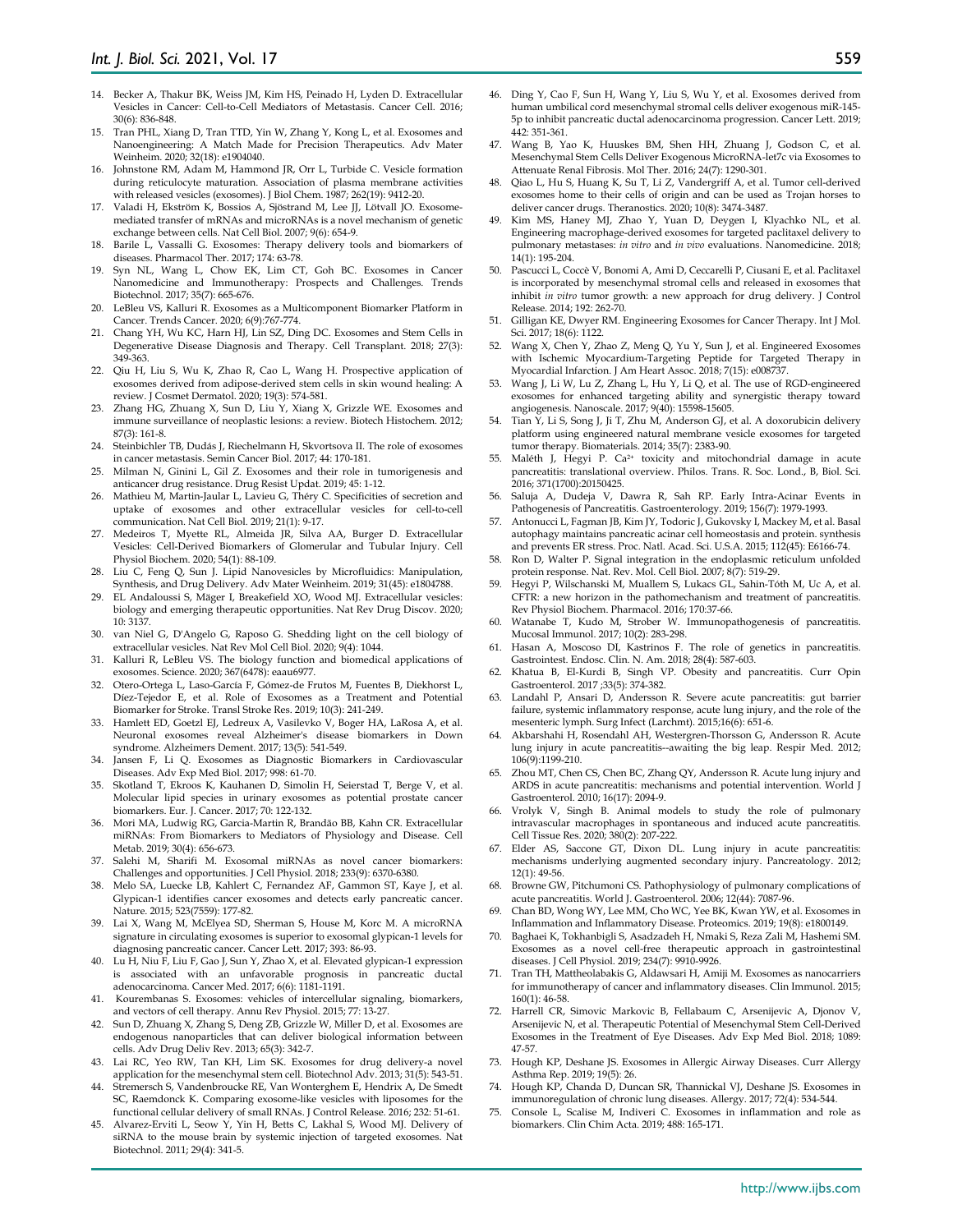- 14. Becker A, Thakur BK, Weiss JM, Kim HS, Peinado H, Lyden D. Extracellular Vesicles in Cancer: Cell-to-Cell Mediators of Metastasis. Cancer Cell. 2016; 30(6): 836-848.
- 15. Tran PHL, Xiang D, Tran TTD, Yin W, Zhang Y, Kong L, et al. Exosomes and Nanoengineering: A Match Made for Precision Therapeutics. Adv Mater Weinheim. 2020; 32(18): e1904040.
- 16. Johnstone RM, Adam M, Hammond JR, Orr L, Turbide C. Vesicle formation during reticulocyte maturation. Association of plasma membrane activities with released vesicles (exosomes). J Biol Chem. 1987; 262(19): 9412-20.
- 17. Valadi H, Ekström K, Bossios A, Sjöstrand M, Lee JJ, Lötvall JO. Exosomemediated transfer of mRNAs and microRNAs is a novel mechanism of genetic exchange between cells. Nat Cell Biol. 2007; 9(6): 654-9.
- 18. Barile L, Vassalli G. Exosomes: Therapy delivery tools and biomarkers of diseases. Pharmacol Ther. 2017; 174: 63-78.
- Syn NL, Wang L, Chow EK, Lim CT, Goh BC. Exosomes in Cancer Nanomedicine and Immunotherapy: Prospects and Challenges. Trends Biotechnol. 2017; 35(7): 665-676.
- LeBleu VS, Kalluri R. Exosomes as a Multicomponent Biomarker Platform in Cancer. Trends Cancer. 2020; 6(9):767-774.
- 21. Chang YH, Wu KC, Harn HJ, Lin SZ, Ding DC. Exosomes and Stem Cells in Degenerative Disease Diagnosis and Therapy. Cell Transplant. 2018; 27(3): 349-363.
- 22. Qiu H, Liu S, Wu K, Zhao R, Cao L, Wang H. Prospective application of exosomes derived from adipose-derived stem cells in skin wound healing: A review. J Cosmet Dermatol. 2020; 19(3): 574-581.
- 23. Zhang HG, Zhuang X, Sun D, Liu Y, Xiang X, Grizzle WE. Exosomes and immune surveillance of neoplastic lesions: a review. Biotech Histochem. 2012; 87(3): 161-8.
- 24. Steinbichler TB, Dudás J, Riechelmann H, Skvortsova II. The role of exosomes in cancer metastasis. Semin Cancer Biol. 2017; 44: 170-181.
- 25. Milman N, Ginini L, Gil Z. Exosomes and their role in tumorigenesis and anticancer drug resistance. Drug Resist Updat. 2019; 45: 1-12.
- Mathieu M, Martin-Jaular L, Lavieu G, Théry C. Specificities of secretion and uptake of exosomes and other extracellular vesicles for cell-to-cell communication. Nat Cell Biol. 2019; 21(1): 9-17.
- 27. Medeiros T, Myette RL, Almeida JR, Silva AA, Burger D. Extracellular Vesicles: Cell-Derived Biomarkers of Glomerular and Tubular Injury. Cell Physiol Biochem. 2020; 54(1): 88-109.
- 28. Liu C, Feng Q, Sun J. Lipid Nanovesicles by Microfluidics: Manipulation, Synthesis, and Drug Delivery. Adv Mater Weinheim. 2019; 31(45): e1804788.
- 29. EL Andaloussi S, Mäger I, Breakefield XO, Wood MJ. Extracellular vesicles: biology and emerging therapeutic opportunities. Nat Rev Drug Discov. 2020; 10: 3137.
- 30. van Niel G, D'Angelo G, Raposo G. Shedding light on the cell biology of extracellular vesicles. Nat Rev Mol Cell Biol. 2020; 9(4): 1044.
- 31. Kalluri R, LeBleu VS. The biology function and biomedical applications of exosomes. Science. 2020; 367(6478): eaau6977.
- 32. Otero-Ortega L, Laso-García F, Gómez-de Frutos M, Fuentes B, Diekhorst L, Díez-Tejedor E, et al. Role of Exosomes as a Treatment and Potential Biomarker for Stroke. Transl Stroke Res. 2019; 10(3): 241-249.
- 33. Hamlett ED, Goetzl EJ, Ledreux A, Vasilevko V, Boger HA, LaRosa A, et al. Neuronal exosomes reveal Alzheimer's disease biomarkers in Down syndrome. Alzheimers Dement. 2017; 13(5): 541-549.
- 34. Jansen F, Li Q. Exosomes as Diagnostic Biomarkers in Cardiovascular Diseases. Adv Exp Med Biol. 2017; 998: 61-70.
- 35. Skotland T, Ekroos K, Kauhanen D, Simolin H, Seierstad T, Berge V, et al. Molecular lipid species in urinary exosomes as potential prostate cancer biomarkers. Eur. J. Cancer. 2017; 70: 122-132.
- 36. Mori MA, Ludwig RG, Garcia-Martin R, Brandão BB, Kahn CR. Extracellular miRNAs: From Biomarkers to Mediators of Physiology and Disease. Cell Metab. 2019; 30(4): 656-673.
- Salehi M, Sharifi M. Exosomal miRNAs as novel cancer biomarkers: Challenges and opportunities. J Cell Physiol. 2018; 233(9): 6370-6380.
- Melo SA, Luecke LB, Kahlert C, Fernandez AF, Gammon ST, Kaye J, et al. Glypican-1 identifies cancer exosomes and detects early pancreatic cancer. Nature. 2015; 523(7559): 177-82.
- 39. Lai X, Wang M, McElyea SD, Sherman S, House M, Korc M. A microRNA signature in circulating exosomes is superior to exosomal glypican-1 levels for diagnosing pancreatic cancer. Cancer Lett. 2017; 393: 86-93.
- 40. Lu H, Niu F, Liu F, Gao J, Sun Y, Zhao X, et al. Elevated glypican-1 expression is associated with an unfavorable prognosis in pancreatic ductal adenocarcinoma. Cancer Med. 2017; 6(6): 1181-1191.
- 41. Kourembanas S. Exosomes: vehicles of intercellular signaling, biomarkers, and vectors of cell therapy. Annu Rev Physiol. 2015; 77: 13-27.
- 42. Sun D, Zhuang X, Zhang S, Deng ZB, Grizzle W, Miller D, et al. Exosomes are endogenous nanoparticles that can deliver biological information between cells. Adv Drug Deliv Rev. 2013; 65(3): 342-7.
- 43. Lai RC, Yeo RW, Tan KH, Lim SK. Exosomes for drug delivery-a novel application for the mesenchymal stem cell. Biotechnol Adv. 2013; 31(5): 543-51.
- 44. Stremersch S, Vandenbroucke RE, Van Wonterghem E, Hendrix A, De Smedt SC, Raemdonck K. Comparing exosome-like vesicles with liposomes for the functional cellular delivery of small RNAs. J Control Release. 2016; 232: 51-61.
- Alvarez-Erviti L, Seow Y, Yin H, Betts C, Lakhal S, Wood MJ. Delivery of siRNA to the mouse brain by systemic injection of targeted exosomes. Nat Biotechnol. 2011; 29(4): 341-5.
- 46. Ding Y, Cao F, Sun H, Wang Y, Liu S, Wu Y, et al. Exosomes derived from human umbilical cord mesenchymal stromal cells deliver exogenous miR-145- 5p to inhibit pancreatic ductal adenocarcinoma progression. Cancer Lett. 2019; 442: 351-361.
- 47. Wang B, Yao K, Huuskes BM, Shen HH, Zhuang J, Godson C, et al. Mesenchymal Stem Cells Deliver Exogenous MicroRNA-let7c via Exosomes to Attenuate Renal Fibrosis. Mol Ther. 2016; 24(7): 1290-301.
- 48. Qiao L, Hu S, Huang K, Su T, Li Z, Vandergriff A, et al. Tumor cell-derived exosomes home to their cells of origin and can be used as Trojan horses to deliver cancer drugs. Theranostics. 2020; 10(8): 3474-3487.
- 49. Kim MS, Haney MJ, Zhao Y, Yuan D, Deygen I, Klyachko NL, et al. Engineering macrophage-derived exosomes for targeted paclitaxel delivery to pulmonary metastases: *in vitro* and *in vivo* evaluations. Nanomedicine. 2018; 14(1): 195-204.
- 50. Pascucci L, Coccè V, Bonomi A, Ami D, Ceccarelli P, Ciusani E, et al. Paclitaxel is incorporated by mesenchymal stromal cells and released in exosomes that inhibit *in vitro* tumor growth: a new approach for drug delivery. J Control Release. 2014; 192: 262-70.
- 51. Gilligan KE, Dwyer RM. Engineering Exosomes for Cancer Therapy. Int J Mol. Sci. 2017; 18(6): 1122.
- 52. Wang X, Chen Y, Zhao Z, Meng Q, Yu Y, Sun J, et al. Engineered Exosomes with Ischemic Myocardium-Targeting Peptide for Targeted Therapy in Myocardial Infarction. J Am Heart Assoc. 2018; 7(15): e008737.
- 53. Wang J, Li W, Lu Z, Zhang L, Hu Y, Li Q, et al. The use of RGD-engineered exosomes for enhanced targeting ability and synergistic therapy toward angiogenesis. Nanoscale. 2017; 9(40): 15598-15605.
- 54. Tian Y, Li S, Song J, Ji T, Zhu M, Anderson GJ, et al. A doxorubicin delivery platform using engineered natural membrane vesicle exosomes for targeted tumor therapy. Biomaterials. 2014; 35(7): 2383-90.
- 55. Maléth J, Hegyi P. Ca2+ toxicity and mitochondrial damage in acute pancreatitis: translational overview. Philos. Trans. R. Soc. Lond., B, Biol. Sci. 2016; 371(1700):20150425.
- 56. Saluja A, Dudeja V, Dawra R, Sah RP. Early Intra-Acinar Events in Pathogenesis of Pancreatitis. Gastroenterology. 2019; 156(7): 1979-1993.
- Antonucci L, Fagman JB, Kim JY, Todoric J, Gukovsky I, Mackey M, et al. Basal autophagy maintains pancreatic acinar cell homeostasis and protein. synthesis and prevents ER stress. Proc. Natl. Acad. Sci. U.S.A. 2015; 112(45): E6166-74.
- 58. Ron D, Walter P. Signal integration in the endoplasmic reticulum unfolded protein response. Nat. Rev. Mol. Cell Biol. 2007; 8(7): 519-29.
- 59. Hegyi P, Wilschanski M, Muallem S, Lukacs GL, Sahin-Tóth M, Uc A, et al. CFTR: a new horizon in the pathomechanism and treatment of pancreatitis. Rev Physiol Biochem. Pharmacol. 2016; 170:37-66.
- 60. Watanabe T, Kudo M, Strober W. Immunopathogenesis of pancreatitis. Mucosal Immunol. 2017; 10(2): 283-298.
- 61. Hasan A, Moscoso DI, Kastrinos F. The role of genetics in pancreatitis. Gastrointest. Endosc. Clin. N. Am. 2018; 28(4): 587-603.
- 62. Khatua B, El-Kurdi B, Singh VP. Obesity and pancreatitis. Curr Opin Gastroenterol. 2017 ;33(5): 374-382.
- 63. Landahl P, Ansari D, Andersson R. Severe acute pancreatitis: gut barrier failure, systemic inflammatory response, acute lung injury, and the role of the mesenteric lymph. Surg Infect (Larchmt). 2015;16(6): 651-6.
- 64. Akbarshahi H, Rosendahl AH, Westergren-Thorsson G, Andersson R. Acute lung injury in acute pancreatitis--awaiting the big leap. Respir Med. 2012; 106(9):1199-210.
- 65. Zhou MT, Chen CS, Chen BC, Zhang QY, Andersson R. Acute lung injury and ARDS in acute pancreatitis: mechanisms and potential intervention. World J Gastroenterol. 2010; 16(17): 2094-9.
- Vrolyk V, Singh B. Animal models to study the role of pulmonary intravascular macrophages in spontaneous and induced acute pancreatitis. Cell Tissue Res. 2020; 380(2): 207-222.
- 67. Elder AS, Saccone GT, Dixon DL. Lung injury in acute pancreatitis: mechanisms underlying augmented secondary injury. Pancreatology. 2012; 12(1): 49-56.
- 68. Browne GW, Pitchumoni CS. Pathophysiology of pulmonary complications of acute pancreatitis. World J. Gastroenterol. 2006; 12(44): 7087-96.
- 69. Chan BD, Wong WY, Lee MM, Cho WC, Yee BK, Kwan YW, et al. Exosomes in Inflammation and Inflammatory Disease. Proteomics. 2019; 19(8): e1800149.
- 70. Baghaei K, Tokhanbigli S, Asadzadeh H, Nmaki S, Reza Zali M, Hashemi SM. Exosomes as a novel cell-free therapeutic approach in gastrointestinal diseases. J Cell Physiol. 2019; 234(7): 9910-9926.
- 71. Tran TH, Mattheolabakis G, Aldawsari H, Amiji M. Exosomes as nanocarriers for immunotherapy of cancer and inflammatory diseases. Clin Immunol. 2015; 160(1): 46-58.
- 72. Harrell CR, Simovic Markovic B, Fellabaum C, Arsenijevic A, Djonov V, Arsenijevic N, et al. Therapeutic Potential of Mesenchymal Stem Cell-Derived Exosomes in the Treatment of Eye Diseases. Adv Exp Med Biol. 2018; 1089: 47-57.
- 73. Hough KP, Deshane JS. Exosomes in Allergic Airway Diseases. Curr Allergy Asthma Rep. 2019; 19(5): 26.
- 74. Hough KP, Chanda D, Duncan SR, Thannickal VJ, Deshane JS. Exosomes in immunoregulation of chronic lung diseases. Allergy. 2017; 72(4): 534-544.
- Console L, Scalise M, Indiveri C. Exosomes in inflammation and role as biomarkers. Clin Chim Acta. 2019; 488: 165-171.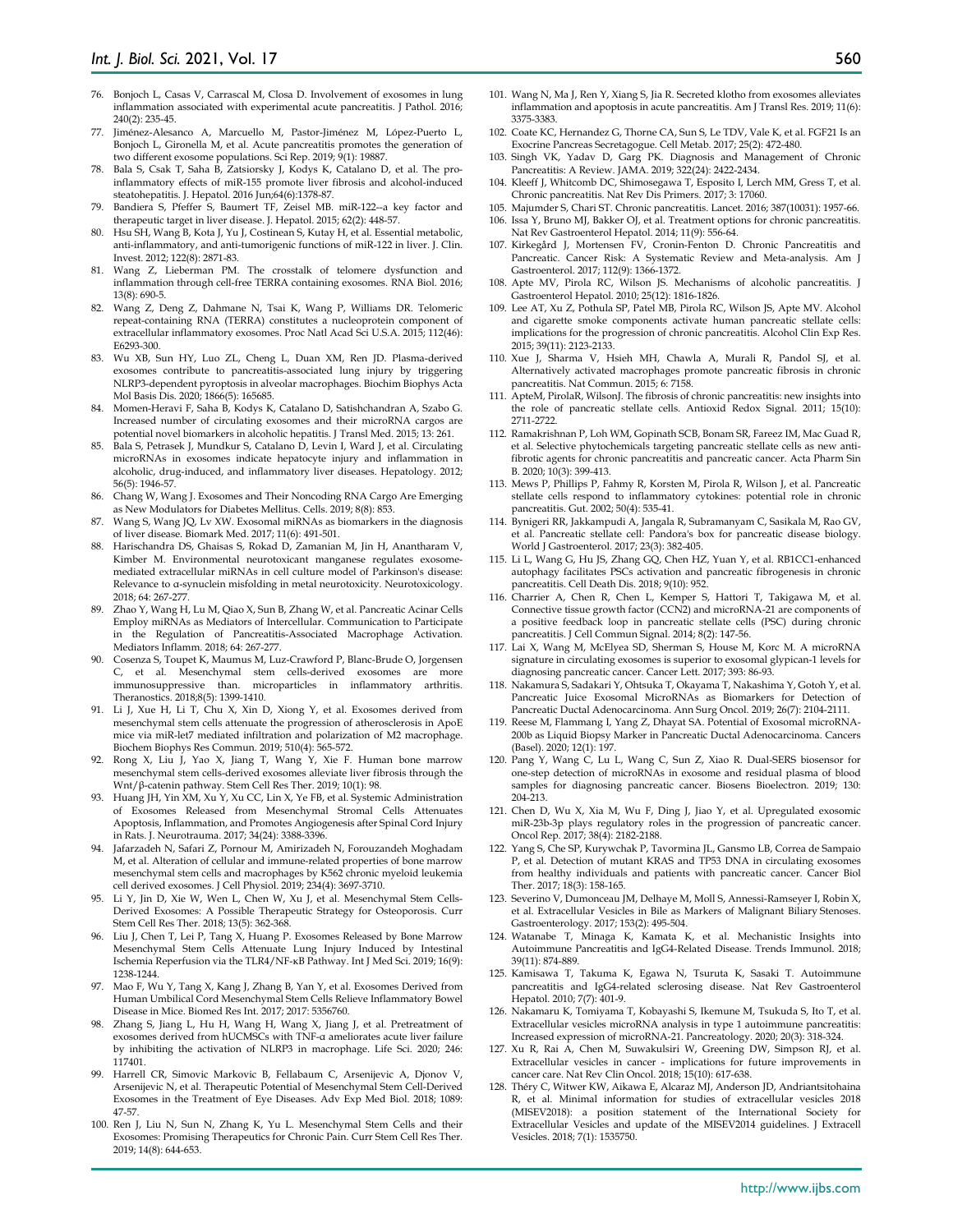- 76. Bonjoch L, Casas V, Carrascal M, Closa D. Involvement of exosomes in lung inflammation associated with experimental acute pancreatitis. J Pathol. 2016; 240(2): 235-45.
- 77. Jiménez-Alesanco A, Marcuello M, Pastor-Jiménez M, López-Puerto L, Bonjoch L, Gironella M, et al. Acute pancreatitis promotes the generation of two different exosome populations. Sci Rep. 2019; 9(1): 19887.
- 78. Bala S, Csak T, Saha B, Zatsiorsky J, Kodys K, Catalano D, et al. The proinflammatory effects of miR-155 promote liver fibrosis and alcohol-induced steatohepatitis. J. Hepatol. 2016 Jun;64(6):1378-87.
- 79. Bandiera S, Pfeffer S, Baumert TF, Zeisel MB. miR-122--a key factor and therapeutic target in liver disease. J. Hepatol. 2015; 62(2): 448-57.
- 80. Hsu SH, Wang B, Kota J, Yu J, Costinean S, Kutay H, et al. Essential metabolic, anti-inflammatory, and anti-tumorigenic functions of miR-122 in liver. J. Clin. Invest. 2012; 122(8): 2871-83.
- 81. Wang Z, Lieberman PM. The crosstalk of telomere dysfunction and inflammation through cell-free TERRA containing exosomes. RNA Biol. 2016; 13(8): 690-5.
- 82. Wang Z, Deng Z, Dahmane N, Tsai K, Wang P, Williams DR. Telomeric repeat-containing RNA (TERRA) constitutes a nucleoprotein component of extracellular inflammatory exosomes. Proc Natl Acad Sci U.S.A. 2015; 112(46): E6293-300.
- 83. Wu XB, Sun HY, Luo ZL, Cheng L, Duan XM, Ren JD. Plasma-derived exosomes contribute to pancreatitis-associated lung injury by triggering NLRP3-dependent pyroptosis in alveolar macrophages. Biochim Biophys Acta Mol Basis Dis. 2020; 1866(5): 165685.
- 84. Momen-Heravi F, Saha B, Kodys K, Catalano D, Satishchandran A, Szabo G. Increased number of circulating exosomes and their microRNA cargos are potential novel biomarkers in alcoholic hepatitis. J Transl Med. 2015; 13: 261.
- 85. Bala S, Petrasek J, Mundkur S, Catalano D, Levin I, Ward J, et al. Circulating microRNAs in exosomes indicate hepatocyte injury and inflammation in alcoholic, drug-induced, and inflammatory liver diseases. Hepatology. 2012; 56(5): 1946-57.
- 86. Chang W, Wang J. Exosomes and Their Noncoding RNA Cargo Are Emerging as New Modulators for Diabetes Mellitus. Cells. 2019; 8(8): 853.
- Wang S, Wang JQ, Lv XW. Exosomal miRNAs as biomarkers in the diagnosis of liver disease. Biomark Med. 2017; 11(6): 491-501.
- 88. Harischandra DS, Ghaisas S, Rokad D, Zamanian M, Jin H, Anantharam V, Kimber M. Environmental neurotoxicant manganese regulates exosomemediated extracellular miRNAs in cell culture model of Parkinson's disease: Relevance to α-synuclein misfolding in metal neurotoxicity. Neurotoxicology. 2018; 64: 267-277.
- 89. Zhao Y, Wang H, Lu M, Qiao X, Sun B, Zhang W, et al. Pancreatic Acinar Cells Employ miRNAs as Mediators of Intercellular. Communication to Participate in the Regulation of Pancreatitis-Associated Macrophage Activation. Mediators Inflamm. 2018; 64: 267-277.
- 90. Cosenza S, Toupet K, Maumus M, Luz-Crawford P, Blanc-Brude O, Jorgensen C, et al. Mesenchymal stem cells-derived exosomes are more microparticles in inflammatory arthritis. Theranostics. 2018;8(5): 1399-1410.
- 91. Li J, Xue H, Li T, Chu X, Xin D, Xiong Y, et al. Exosomes derived from mesenchymal stem cells attenuate the progression of atherosclerosis in ApoE mice via miR-let7 mediated infiltration and polarization of M2 macrophage. Biochem Biophys Res Commun. 2019; 510(4): 565-572.
- 92. Rong X, Liu J, Yao X, Jiang T, Wang Y, Xie F. Human bone marrow mesenchymal stem cells-derived exosomes alleviate liver fibrosis through the Wnt/β-catenin pathway. Stem Cell Res Ther. 2019; 10(1): 98.
- 93. Huang JH, Yin XM, Xu Y, Xu CC, Lin X, Ye FB, et al. Systemic Administration of Exosomes Released from Mesenchymal Stromal Cells Attenuates Apoptosis, Inflammation, and Promotes Angiogenesis after Spinal Cord Injury in Rats. J. Neurotrauma. 2017; 34(24): 3388-3396.
- 94. Jafarzadeh N, Safari Z, Pornour M, Amirizadeh N, Forouzandeh Moghadam M, et al. Alteration of cellular and immune-related properties of bone marrow mesenchymal stem cells and macrophages by K562 chronic myeloid leukemia cell derived exosomes. J Cell Physiol. 2019; 234(4): 3697-3710.
- 95. Li Y, Jin D, Xie W, Wen L, Chen W, Xu J, et al. Mesenchymal Stem Cells-Derived Exosomes: A Possible Therapeutic Strategy for Osteoporosis. Curr Stem Cell Res Ther. 2018; 13(5): 362-368.
- 96. Liu J, Chen T, Lei P, Tang X, Huang P. Exosomes Released by Bone Marrow Mesenchymal Stem Cells Attenuate Lung Injury Induced by Intestinal Ischemia Reperfusion via the TLR4/NF-κB Pathway. Int J Med Sci. 2019; 16(9): 1238-1244.
- 97. Mao F, Wu Y, Tang X, Kang J, Zhang B, Yan Y, et al. Exosomes Derived from Human Umbilical Cord Mesenchymal Stem Cells Relieve Inflammatory Bowel Disease in Mice. Biomed Res Int. 2017; 2017: 5356760.
- 98. Zhang S, Jiang L, Hu H, Wang H, Wang X, Jiang J, et al. Pretreatment of exosomes derived from hUCMSCs with TNF-α ameliorates acute liver failure by inhibiting the activation of NLRP3 in macrophage. Life Sci. 2020; 246: 117401.
- 99. Harrell CR, Simovic Markovic B, Fellabaum C, Arsenijevic A, Djonov V, Arsenijevic N, et al. Therapeutic Potential of Mesenchymal Stem Cell-Derived Exosomes in the Treatment of Eye Diseases. Adv Exp Med Biol. 2018; 1089: 47-57.
- 100. Ren J, Liu N, Sun N, Zhang K, Yu L. Mesenchymal Stem Cells and their Exosomes: Promising Therapeutics for Chronic Pain. Curr Stem Cell Res Ther. 2019; 14(8): 644-653.
- 101. Wang N, Ma J, Ren Y, Xiang S, Jia R. Secreted klotho from exosomes alleviates inflammation and apoptosis in acute pancreatitis. Am J Transl Res. 2019; 11(6): 3375-3383.
- 102. Coate KC, Hernandez G, Thorne CA, Sun S, Le TDV, Vale K, et al. FGF21 Is an Exocrine Pancreas Secretagogue. Cell Metab. 2017; 25(2): 472-480.
- 103. Singh VK, Yadav D, Garg PK. Diagnosis and Management of Chronic Pancreatitis: A Review. JAMA. 2019; 322(24): 2422-2434.
- 104. Kleeff J, Whitcomb DC, Shimosegawa T, Esposito I, Lerch MM, Gress T, et al. Chronic pancreatitis. Nat Rev Dis Primers. 2017; 3: 17060.
- 105. Majumder S, Chari ST. Chronic pancreatitis. Lancet. 2016; 387(10031): 1957-66.
- 106. Issa Y, Bruno MJ, Bakker OJ, et al. Treatment options for chronic pancreatitis. Nat Rev Gastroenterol Hepatol. 2014; 11(9): 556-64.
- 107. Kirkegård J, Mortensen FV, Cronin-Fenton D. Chronic Pancreatitis and Pancreatic. Cancer Risk: A Systematic Review and Meta-analysis. Am J Gastroenterol. 2017; 112(9): 1366-1372.
- 108. Apte MV, Pirola RC, Wilson JS. Mechanisms of alcoholic pancreatitis. J Gastroenterol Hepatol. 2010; 25(12): 1816-1826.
- 109. Lee AT, Xu Z, Pothula SP, Patel MB, Pirola RC, Wilson JS, Apte MV. Alcohol and cigarette smoke components activate human pancreatic stellate cells: implications for the progression of chronic pancreatitis. Alcohol Clin Exp Res. 2015; 39(11): 2123-2133.
- 110. Xue J, Sharma V, Hsieh MH, Chawla A, Murali R, Pandol SJ, et al. Alternatively activated macrophages promote pancreatic fibrosis in chronic pancreatitis. Nat Commun. 2015; 6: 7158.
- 111. ApteM, PirolaR, WilsonJ. The fibrosis of chronic pancreatitis: new insights into the role of pancreatic stellate cells. Antioxid Redox Signal. 2011; 15(10): 2711-2722.
- 112. Ramakrishnan P, Loh WM, Gopinath SCB, Bonam SR, Fareez IM, Mac Guad R, et al. Selective phytochemicals targeting pancreatic stellate cells as new antifibrotic agents for chronic pancreatitis and pancreatic cancer. Acta Pharm Sin B. 2020; 10(3): 399-413.
- 113. Mews P, Phillips P, Fahmy R, Korsten M, Pirola R, Wilson J, et al. Pancreatic stellate cells respond to inflammatory cytokines: potential role in chronic pancreatitis. Gut. 2002; 50(4): 535-41.
- 114. Bynigeri RR, Jakkampudi A, Jangala R, Subramanyam C, Sasikala M, Rao GV, et al. Pancreatic stellate cell: Pandora's box for pancreatic disease biology. World J Gastroenterol. 2017; 23(3): 382-405.
- 115. Li L, Wang G, Hu JS, Zhang GQ, Chen HZ, Yuan Y, et al. RB1CC1-enhanced autophagy facilitates PSCs activation and pancreatic fibrogenesis in chronic pancreatitis. Cell Death Dis. 2018; 9(10): 952.
- 116. Charrier A, Chen R, Chen L, Kemper S, Hattori T, Takigawa M, et al. Connective tissue growth factor (CCN2) and microRNA-21 are components of a positive feedback loop in pancreatic stellate cells (PSC) during chronic pancreatitis. J Cell Commun Signal. 2014; 8(2): 147-56.
- 117. Lai X, Wang M, McElyea SD, Sherman S, House M, Korc M. A microRNA signature in circulating exosomes is superior to exosomal glypican-1 levels for diagnosing pancreatic cancer. Cancer Lett. 2017; 393: 86-93.
- 118. Nakamura S, Sadakari Y, Ohtsuka T, Okayama T, Nakashima Y, Gotoh Y, et al. Pancreatic Juice Exosomal MicroRNAs as Biomarkers for Detection of Pancreatic Ductal Adenocarcinoma. Ann Surg Oncol. 2019; 26(7): 2104-2111.
- 119. Reese M, Flammang I, Yang Z, Dhayat SA. Potential of Exosomal microRNA-200b as Liquid Biopsy Marker in Pancreatic Ductal Adenocarcinoma. Cancers (Basel). 2020; 12(1): 197.
- 120. Pang Y, Wang C, Lu L, Wang C, Sun Z, Xiao R. Dual-SERS biosensor for one-step detection of microRNAs in exosome and residual plasma of blood samples for diagnosing pancreatic cancer. Biosens Bioelectron. 2019; 130: 204-213.
- 121. Chen D, Wu X, Xia M, Wu F, Ding J, Jiao Y, et al. Upregulated exosomic miR‑23b‑3p plays regulatory roles in the progression of pancreatic cancer. Oncol Rep. 2017; 38(4): 2182-2188.
- 122. Yang S, Che SP, Kurywchak P, Tavormina JL, Gansmo LB, Correa de Sampaio P, et al. Detection of mutant KRAS and TP53 DNA in circulating exosomes from healthy individuals and patients with pancreatic cancer. Cancer Biol Ther. 2017; 18(3): 158-165.
- 123. Severino V, Dumonceau JM, Delhaye M, Moll S, Annessi-Ramseyer I, Robin X, et al. Extracellular Vesicles in Bile as Markers of Malignant Biliary Stenoses. Gastroenterology. 2017; 153(2): 495-504.
- 124. Watanabe T, Minaga K, Kamata K, et al. Mechanistic Insights into Autoimmune Pancreatitis and IgG4-Related Disease. Trends Immunol. 2018; 39(11): 874-889.
- 125. Kamisawa T, Takuma K, Egawa N, Tsuruta K, Sasaki T. Autoimmune pancreatitis and IgG4-related sclerosing disease. Nat Rev Gastroenterol Hepatol. 2010; 7(7): 401-9.
- 126. Nakamaru K, Tomiyama T, Kobayashi S, Ikemune M, Tsukuda S, Ito T, et al. Extracellular vesicles microRNA analysis in type 1 autoimmune pancreatitis: Increased expression of microRNA-21. Pancreatology. 2020; 20(3): 318-324.
- 127. Xu R, Rai A, Chen M, Suwakulsiri W, Greening DW, Simpson RJ, et al. Extracellular vesicles in cancer - implications for future improvements in cancer care. Nat Rev Clin Oncol. 2018; 15(10): 617-638.
- 128. Théry C, Witwer KW, Aikawa E, Alcaraz MJ, Anderson JD, Andriantsitohaina R, et al. Minimal information for studies of extracellular vesicles 2018 (MISEV2018): a position statement of the International Society for Extracellular Vesicles and update of the MISEV2014 guidelines. J Extracell Vesicles. 2018; 7(1): 1535750.